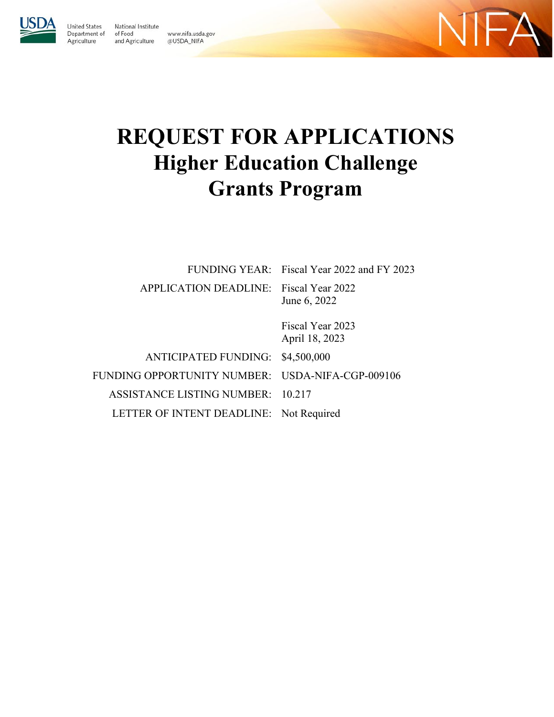

United States

Agriculture

National Institute Department of of Food www.nifa.usda.gov and Agriculture @USDA\_NIFA



# **REQUEST FOR APPLICATIONS Higher Education Challenge Grants Program**

| FUNDING YEAR: Fiscal Year 2022 and FY 2023             |
|--------------------------------------------------------|
| APPLICATION DEADLINE: Fiscal Year 2022<br>June 6, 2022 |
| Fiscal Year 2023<br>April 18, 2023                     |
| ANTICIPATED FUNDING:<br>\$4,500,000                    |
| FUNDING OPPORTUNITY NUMBER: USDA-NIFA-CGP-009106       |
| ASSISTANCE LISTING NUMBER: 10.217                      |
|                                                        |

LETTER OF INTENT DEADLINE: Not Required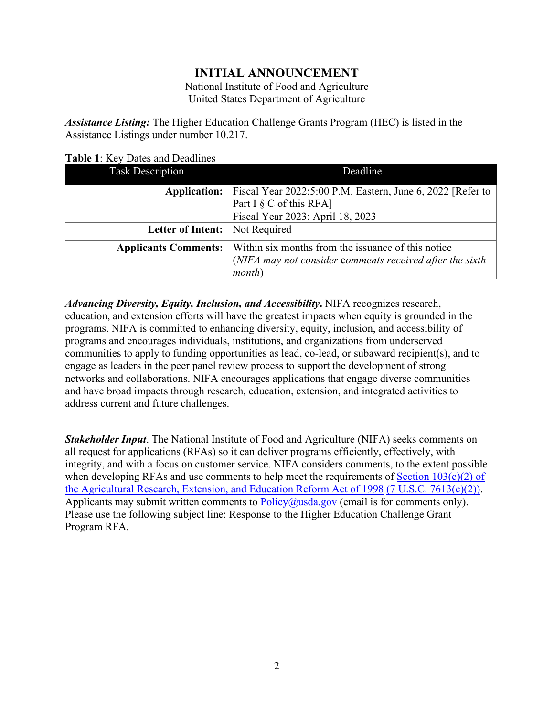# **INITIAL ANNOUNCEMENT**

National Institute of Food and Agriculture United States Department of Agriculture

*Assistance Listing:* The Higher Education Challenge Grants Program (HEC) is listed in the Assistance Listings under number 10.217.

<span id="page-1-0"></span>

| <b>Task Description</b>     | Deadline                                                                                 |  |
|-----------------------------|------------------------------------------------------------------------------------------|--|
| <b>Application:</b>         | Fiscal Year 2022:5:00 P.M. Eastern, June 6, 2022 [Refer to<br>Part I $\S$ C of this RFA] |  |
|                             | Fiscal Year 2023: April 18, 2023                                                         |  |
| <b>Letter of Intent:</b>    | Not Required                                                                             |  |
| <b>Applicants Comments:</b> | Within six months from the issuance of this notice                                       |  |
|                             | (NIFA may not consider comments received after the sixth                                 |  |
|                             | month                                                                                    |  |

*Advancing Diversity, Equity, Inclusion, and Accessibility***.** NIFA recognizes research, education, and extension efforts will have the greatest impacts when equity is grounded in the programs. NIFA is committed to enhancing diversity, equity, inclusion, and accessibility of programs and encourages individuals, institutions, and organizations from underserved communities to apply to funding opportunities as lead, co-lead, or subaward recipient(s), and to engage as leaders in the peer panel review process to support the development of strong networks and collaborations. NIFA encourages applications that engage diverse communities and have broad impacts through research, education, extension, and integrated activities to address current and future challenges.

*Stakeholder Input*. The National Institute of Food and Agriculture (NIFA) seeks comments on all request for applications (RFAs) so it can deliver programs efficiently, effectively, with integrity, and with a focus on customer service. NIFA considers comments, to the extent possible when developing RFAs and use comments to help meet the requirements of Section  $103(c)(2)$  of [the Agricultural Research, Extension, and Education Reform Act of 1998](https://nifa.usda.gov/resource/agricultural-research-extension-and-education-reform-act-1998) [\(7 U.S.C. 7613\(c\)\(2\)\).](https://uscode.house.gov/view.xhtml?req=(title:7%20section:7613%20edition:prelim)%20OR%20(granuleid:USC-prelim-title7-section7613)&f=treesort&edition=prelim&num=0&jumpTo=true) Applicants may submit written comments to  $Policy@usda.gov$  (email is for comments only). Please use the following subject line: Response to the Higher Education Challenge Grant Program RFA.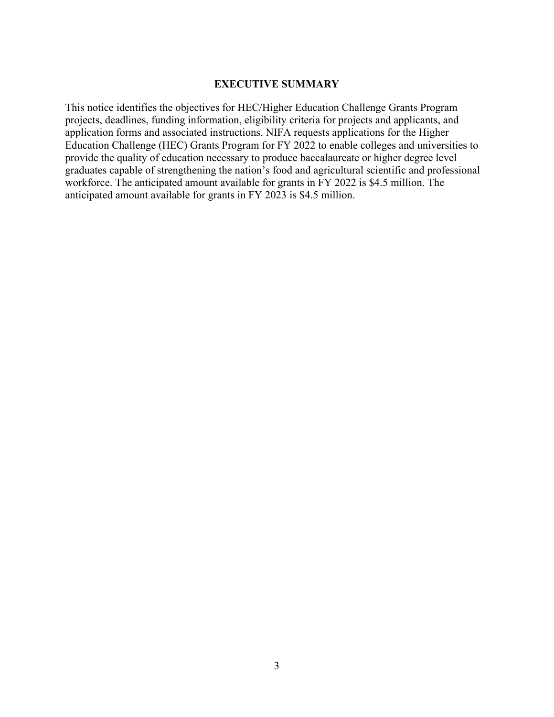#### **EXECUTIVE SUMMARY**

<span id="page-2-0"></span>This notice identifies the objectives for HEC/Higher Education Challenge Grants Program projects, deadlines, funding information, eligibility criteria for projects and applicants, and application forms and associated instructions. NIFA requests applications for the Higher Education Challenge (HEC) Grants Program for FY 2022 to enable colleges and universities to provide the quality of education necessary to produce baccalaureate or higher degree level graduates capable of strengthening the nation's food and agricultural scientific and professional workforce. The anticipated amount available for grants in FY 2022 is \$4.5 million. The anticipated amount available for grants in FY 2023 is \$4.5 million.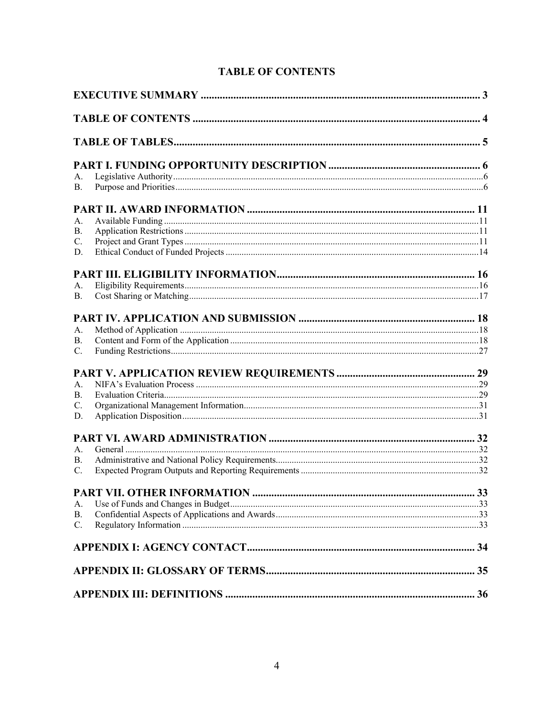<span id="page-3-0"></span>

| А.              |  |
|-----------------|--|
| <b>B.</b>       |  |
|                 |  |
| A.              |  |
| В.              |  |
| C.              |  |
| D.              |  |
|                 |  |
|                 |  |
| А.              |  |
| В.              |  |
|                 |  |
| А.              |  |
| В.              |  |
| C.              |  |
|                 |  |
| А.              |  |
| B.              |  |
| C.              |  |
| D.              |  |
|                 |  |
| А.              |  |
| В.              |  |
| C.              |  |
|                 |  |
|                 |  |
| А.<br><b>B.</b> |  |
| C.              |  |
|                 |  |
|                 |  |
|                 |  |
|                 |  |
|                 |  |

# **TABLE OF CONTENTS**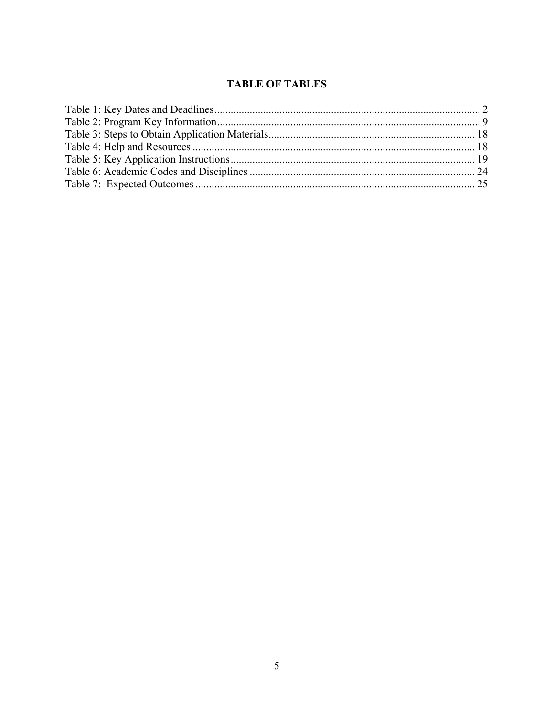# **TABLE OF TABLES**

<span id="page-4-0"></span>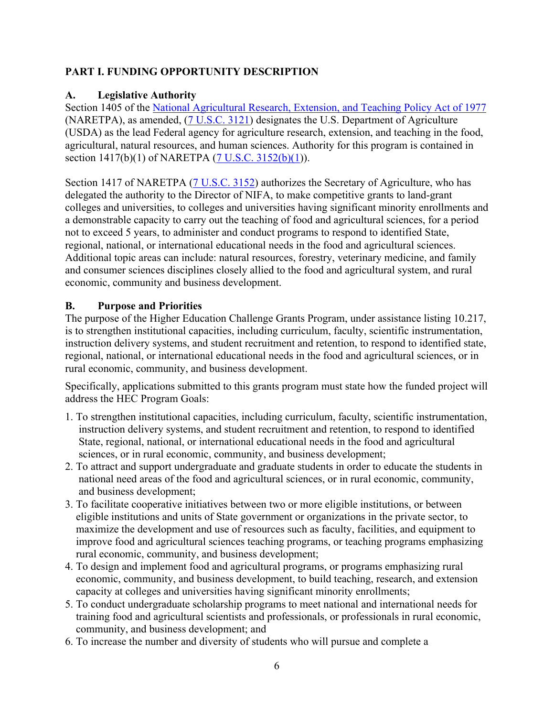# <span id="page-5-0"></span>**PART I. FUNDING OPPORTUNITY DESCRIPTION**

## <span id="page-5-1"></span>**A. Legislative Authority**

Section 1405 of the [National Agricultural Research, Extension, and Teaching Policy Act of 1977](https://nifa.usda.gov/sites/default/files/resource/nar77.pdf) (NARETPA), as amended, [\(7 U.S.C. 3121\)](https://uscode.house.gov/view.xhtml?req=(title:7%20section:3121%20edition:prelim)%20OR%20(granuleid:USC-prelim-title7-section3121)&f=treesort&edition=prelim&num=0&jumpTo=true) designates the U.S. Department of Agriculture (USDA) as the lead Federal agency for agriculture research, extension, and teaching in the food, agricultural, natural resources, and human sciences. Authority for this program is contained in section 1417(b)(1) of NARETPA [\(7 U.S.C. 3152\(b\)\(1\)](https://uscode.house.gov/view.xhtml?req=(title%3A7%20section%3A3152%20edition%3Aprelim)%20OR%20(granuleid%3AUSC-prelim-title7-section3152)&f=treesort&edition=prelim&num=0&jumpTo=true)).

Section 1417 of NARETPA [\(7 U.S.C. 3152\)](https://uscode.house.gov/view.xhtml?req=(title%3A7%20section%3A3152%20edition%3Aprelim)%20OR%20(granuleid%3AUSC-prelim-title7-section3152)&f=treesort&edition=prelim&num=0&jumpTo=true) authorizes the Secretary of Agriculture, who has delegated the authority to the Director of NIFA, to make competitive grants to land-grant colleges and universities, to colleges and universities having significant minority enrollments and a demonstrable capacity to carry out the teaching of food and agricultural sciences, for a period not to exceed 5 years, to administer and conduct programs to respond to identified State, regional, national, or international educational needs in the food and agricultural sciences. Additional topic areas can include: natural resources, forestry, veterinary medicine, and family and consumer sciences disciplines closely allied to the food and agricultural system, and rural economic, community and business development.

## <span id="page-5-2"></span>**B. Purpose and Priorities**

The purpose of the Higher Education Challenge Grants Program, under assistance listing 10.217, is to strengthen institutional capacities, including curriculum, faculty, scientific instrumentation, instruction delivery systems, and student recruitment and retention, to respond to identified state, regional, national, or international educational needs in the food and agricultural sciences, or in rural economic, community, and business development.

Specifically, applications submitted to this grants program must state how the funded project will address the HEC Program Goals:

- 1. To strengthen institutional capacities, including curriculum, faculty, scientific instrumentation, instruction delivery systems, and student recruitment and retention, to respond to identified State, regional, national, or international educational needs in the food and agricultural sciences, or in rural economic, community, and business development;
- 2. To attract and support undergraduate and graduate students in order to educate the students in national need areas of the food and agricultural sciences, or in rural economic, community, and business development;
- 3. To facilitate cooperative initiatives between two or more eligible institutions, or between eligible institutions and units of State government or organizations in the private sector, to maximize the development and use of resources such as faculty, facilities, and equipment to improve food and agricultural sciences teaching programs, or teaching programs emphasizing rural economic, community, and business development;
- 4. To design and implement food and agricultural programs, or programs emphasizing rural economic, community, and business development, to build teaching, research, and extension capacity at colleges and universities having significant minority enrollments;
- 5. To conduct undergraduate scholarship programs to meet national and international needs for training food and agricultural scientists and professionals, or professionals in rural economic, community, and business development; and
- 6. To increase the number and diversity of students who will pursue and complete a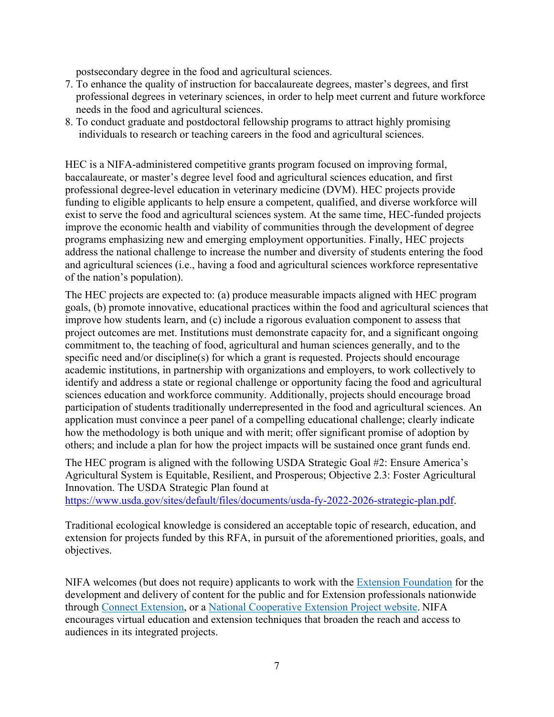postsecondary degree in the food and agricultural sciences.

- 7. To enhance the quality of instruction for baccalaureate degrees, master's degrees, and first professional degrees in veterinary sciences, in order to help meet current and future workforce needs in the food and agricultural sciences.
- 8. To conduct graduate and postdoctoral fellowship programs to attract highly promising individuals to research or teaching careers in the food and agricultural sciences.

HEC is a NIFA-administered competitive grants program focused on improving formal, baccalaureate, or master's degree level food and agricultural sciences education, and first professional degree-level education in veterinary medicine (DVM). HEC projects provide funding to eligible applicants to help ensure a competent, qualified, and diverse workforce will exist to serve the food and agricultural sciences system. At the same time, HEC-funded projects improve the economic health and viability of communities through the development of degree programs emphasizing new and emerging employment opportunities. Finally, HEC projects address the national challenge to increase the number and diversity of students entering the food and agricultural sciences (i.e., having a food and agricultural sciences workforce representative of the nation's population).

The HEC projects are expected to: (a) produce measurable impacts aligned with HEC program goals, (b) promote innovative, educational practices within the food and agricultural sciences that improve how students learn, and (c) include a rigorous evaluation component to assess that project outcomes are met. Institutions must demonstrate capacity for, and a significant ongoing commitment to, the teaching of food, agricultural and human sciences generally, and to the specific need and/or discipline(s) for which a grant is requested. Projects should encourage academic institutions, in partnership with organizations and employers, to work collectively to identify and address a state or regional challenge or opportunity facing the food and agricultural sciences education and workforce community. Additionally, projects should encourage broad participation of students traditionally underrepresented in the food and agricultural sciences. An application must convince a peer panel of a compelling educational challenge; clearly indicate how the methodology is both unique and with merit; offer significant promise of adoption by others; and include a plan for how the project impacts will be sustained once grant funds end.

The HEC program is aligned with the following USDA Strategic Goal #2: Ensure America's Agricultural System is Equitable, Resilient, and Prosperous; Objective 2.3: Foster Agricultural Innovation. The USDA Strategic Plan found at

[https://www.usda.gov/sites/default/files/documents/usda-fy-2022-2026-strategic-plan.pdf.](https://www.usda.gov/sites/default/files/documents/usda-fy-2022-2026-strategic-plan.pdf)

Traditional ecological knowledge is considered an acceptable topic of research, education, and extension for projects funded by this RFA, in pursuit of the aforementioned priorities, goals, and objectives.

NIFA welcomes (but does not require) applicants to work with the [Extension Foundation](https://gcc02.safelinks.protection.outlook.com/?url=http%3A%2F%2Fextension.org%2F&data=04%7C01%7C%7Ca20ab3b70b594250729308d9b8d16d39%7Ced5b36e701ee4ebc867ee03cfa0d4697%7C0%7C0%7C637744031880128218%7CUnknown%7CTWFpbGZsb3d8eyJWIjoiMC4wLjAwMDAiLCJQIjoiV2luMzIiLCJBTiI6Ik1haWwiLCJXVCI6Mn0%3D%7C3000&sdata=O1FPITwYnPL9bUoa6KlWT3HGCAodXoe4WabAWYMPwUs%3D&reserved=0) for the development and delivery of content for the public and for Extension professionals nationwide through [Connect Extension,](https://gcc02.safelinks.protection.outlook.com/?url=http%3A%2F%2Fconnect.extension.org%2F&data=04%7C01%7C%7Ca20ab3b70b594250729308d9b8d16d39%7Ced5b36e701ee4ebc867ee03cfa0d4697%7C0%7C0%7C637744031880128218%7CUnknown%7CTWFpbGZsb3d8eyJWIjoiMC4wLjAwMDAiLCJQIjoiV2luMzIiLCJBTiI6Ik1haWwiLCJXVCI6Mn0%3D%7C3000&sdata=BvJWf0GqWsEOZBxeTIFyE0pVGEuxR95tkXzOccIQKeA%3D&reserved=0) or a [National Cooperative Extension Project website.](https://gcc02.safelinks.protection.outlook.com/?url=https%3A%2F%2Fextension.org%2Fnational-cooperative-extension-projects%2F&data=04%7C01%7C%7Ca20ab3b70b594250729308d9b8d16d39%7Ced5b36e701ee4ebc867ee03cfa0d4697%7C0%7C0%7C637744031880128218%7CUnknown%7CTWFpbGZsb3d8eyJWIjoiMC4wLjAwMDAiLCJQIjoiV2luMzIiLCJBTiI6Ik1haWwiLCJXVCI6Mn0%3D%7C3000&sdata=%2BNLyg2ocosC8NESorX3VwJSeDDNnw9IturIgC2JMlNk%3D&reserved=0) NIFA encourages virtual education and extension techniques that broaden the reach and access to audiences in its integrated projects.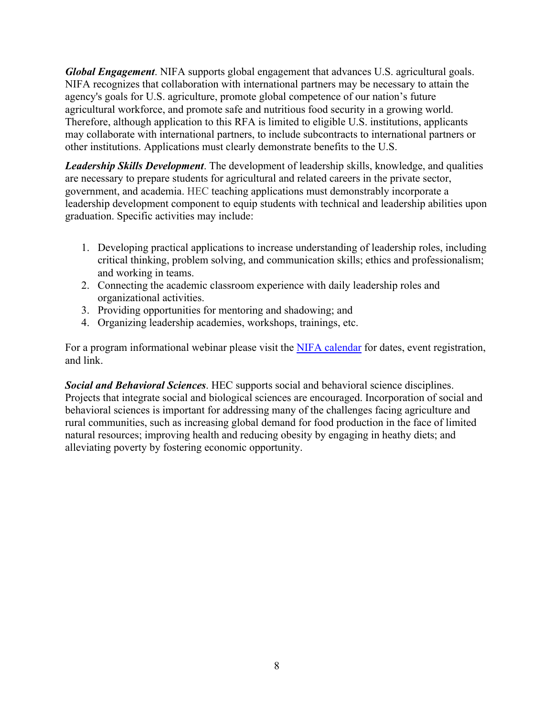*Global Engagement*. NIFA supports global engagement that advances U.S. agricultural goals. NIFA recognizes that collaboration with international partners may be necessary to attain the agency's goals for U.S. agriculture, promote global competence of our nation's future agricultural workforce, and promote safe and nutritious food security in a growing world. Therefore, although application to this RFA is limited to eligible U.S. institutions, applicants may collaborate with international partners, to include subcontracts to international partners or other institutions. Applications must clearly demonstrate benefits to the U.S.

*Leadership Skills Development*. The development of leadership skills, knowledge, and qualities are necessary to prepare students for agricultural and related careers in the private sector, government, and academia. HEC teaching applications must demonstrably incorporate a leadership development component to equip students with technical and leadership abilities upon graduation. Specific activities may include:

- 1. Developing practical applications to increase understanding of leadership roles, including critical thinking, problem solving, and communication skills; ethics and professionalism; and working in teams.
- 2. Connecting the academic classroom experience with daily leadership roles and organizational activities.
- 3. Providing opportunities for mentoring and shadowing; and
- 4. Organizing leadership academies, workshops, trainings, etc.

For a program informational webinar please visit the [NIFA calendar](https://nifa.usda.gov/calendar) for dates, event registration, and link.

*Social and Behavioral Sciences*. HEC supports social and behavioral science disciplines. Projects that integrate social and biological sciences are encouraged. Incorporation of social and behavioral sciences is important for addressing many of the challenges facing agriculture and rural communities, such as increasing global demand for food production in the face of limited natural resources; improving health and reducing obesity by engaging in heathy diets; and alleviating poverty by fostering economic opportunity.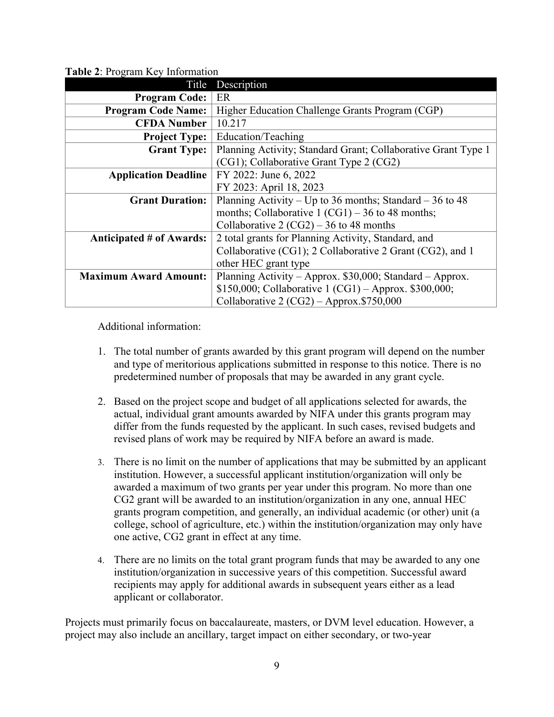| Title                           | Description                                                   |  |  |
|---------------------------------|---------------------------------------------------------------|--|--|
| <b>Program Code:</b>            | ER                                                            |  |  |
| <b>Program Code Name:</b>       | Higher Education Challenge Grants Program (CGP)               |  |  |
| <b>CFDA Number</b>              | 10.217                                                        |  |  |
| <b>Project Type:</b>            | Education/Teaching                                            |  |  |
| <b>Grant Type:</b>              | Planning Activity; Standard Grant; Collaborative Grant Type 1 |  |  |
|                                 | (CG1); Collaborative Grant Type 2 (CG2)                       |  |  |
| <b>Application Deadline</b>     | FY 2022: June 6, 2022                                         |  |  |
|                                 | FY 2023: April 18, 2023                                       |  |  |
| <b>Grant Duration:</b>          | Planning Activity – Up to 36 months; Standard – 36 to 48      |  |  |
|                                 | months; Collaborative $1 (CG1) - 36$ to 48 months;            |  |  |
|                                 | Collaborative 2 (CG2) – 36 to 48 months                       |  |  |
| <b>Anticipated # of Awards:</b> | 2 total grants for Planning Activity, Standard, and           |  |  |
|                                 | Collaborative (CG1); 2 Collaborative 2 Grant (CG2), and 1     |  |  |
|                                 | other HEC grant type                                          |  |  |
| <b>Maximum Award Amount:</b>    | Planning Activity – Approx. \$30,000; Standard – Approx.      |  |  |
|                                 | \$150,000; Collaborative 1 (CG1) - Approx. \$300,000;         |  |  |
|                                 | Collaborative $2 (CG2) - Approx.$ \$750,000                   |  |  |

<span id="page-8-1"></span>**Table 2**: Program Key Information

<span id="page-8-0"></span>Additional information:

- 1. The total number of grants awarded by this grant program will depend on the number and type of meritorious applications submitted in response to this notice. There is no predetermined number of proposals that may be awarded in any grant cycle.
- 2. Based on the project scope and budget of all applications selected for awards, the actual, individual grant amounts awarded by NIFA under this grants program may differ from the funds requested by the applicant. In such cases, revised budgets and revised plans of work may be required by NIFA before an award is made.
- 3. There is no limit on the number of applications that may be submitted by an applicant institution. However, a successful applicant institution/organization will only be awarded a maximum of two grants per year under this program. No more than one CG2 grant will be awarded to an institution/organization in any one, annual HEC grants program competition, and generally, an individual academic (or other) unit (a college, school of agriculture, etc.) within the institution/organization may only have one active, CG2 grant in effect at any time.
- 4. There are no limits on the total grant program funds that may be awarded to any one institution/organization in successive years of this competition. Successful award recipients may apply for additional awards in subsequent years either as a lead applicant or collaborator.

Projects must primarily focus on baccalaureate, masters, or DVM level education. However, a project may also include an ancillary, target impact on either secondary, or two-year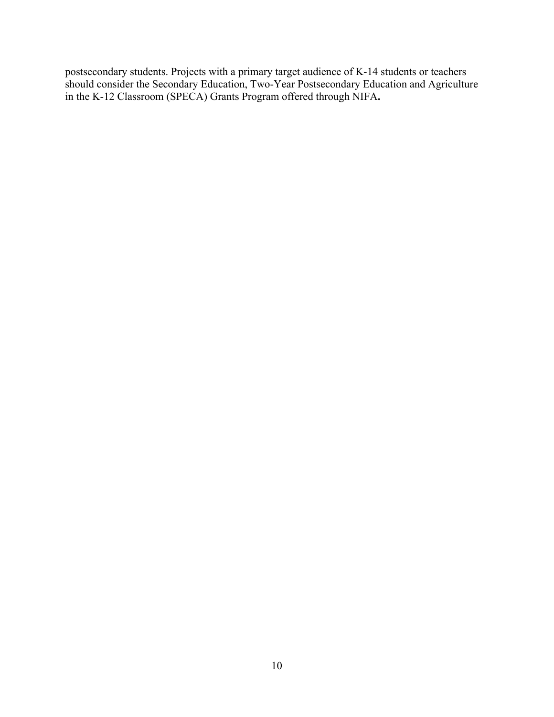postsecondary students. Projects with a primary target audience of K-14 students or teachers should consider the Secondary Education, Two-Year Postsecondary Education and Agriculture in the K-12 Classroom (SPECA) Grants Program offered through NIFA**.**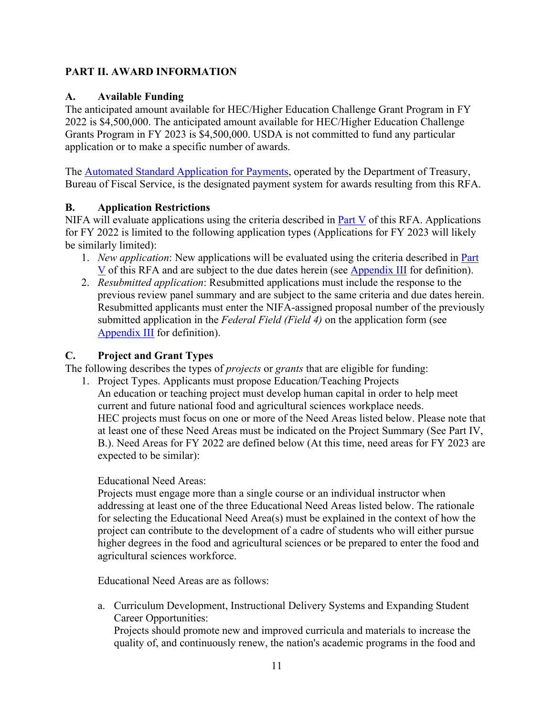## <span id="page-10-0"></span>**PART II. AWARD INFORMATION**

## <span id="page-10-1"></span>**A. Available Funding**

The anticipated amount available for HEC/Higher Education Challenge Grant Program in FY 2022 is \$4,500,000. The anticipated amount available for HEC/Higher Education Challenge Grants Program in FY 2023 is \$4,500,000. USDA is not committed to fund any particular application or to make a specific number of awards.

The [Automated Standard Application for Payments,](https://www.fiscal.treasury.gov/fsservices/gov/pmt/asap/asap_home.htm) operated by the Department of Treasury, Bureau of Fiscal Service, is the designated payment system for awards resulting from this RFA.

#### <span id="page-10-2"></span>**B. Application Restrictions**

NIFA will evaluate applications using the criteria described in  $Part V$  of this RFA. Applications for FY 2022 is limited to the following application types (Applications for FY 2023 will likely be similarly limited):

- 1. *New application*: New applications will be evaluated using the criteria described in [Part](#page-28-0)  [V](#page-28-0) of this RFA and are subject to the due dates herein (see [Appendix III](#page-34-1) for definition).
- 2. *Resubmitted application*: Resubmitted applications must include the response to the previous review panel summary and are subject to the same criteria and due dates herein. Resubmitted applicants must enter the NIFA-assigned proposal number of the previously submitted application in the *Federal Field (Field 4)* on the application form (see [Appendix III](#page-34-1) for definition).

## <span id="page-10-3"></span>**C. Project and Grant Types**

The following describes the types of *projects* or *grants* that are eligible for funding:

1. Project Types. Applicants must propose Education/Teaching Projects An education or teaching project must develop human capital in order to help meet current and future national food and agricultural sciences workplace needs. HEC projects must focus on one or more of the Need Areas listed below. Please note that at least one of these Need Areas must be indicated on the Project Summary (See Part IV, B.). Need Areas for FY 2022 are defined below (At this time, need areas for FY 2023 are expected to be similar):

#### Educational Need Areas:

Projects must engage more than a single course or an individual instructor when addressing at least one of the three Educational Need Areas listed below. The rationale for selecting the Educational Need Area(s) must be explained in the context of how the project can contribute to the development of a cadre of students who will either pursue higher degrees in the food and agricultural sciences or be prepared to enter the food and agricultural sciences workforce.

Educational Need Areas are as follows:

a. Curriculum Development, Instructional Delivery Systems and Expanding Student Career Opportunities:

Projects should promote new and improved curricula and materials to increase the quality of, and continuously renew, the nation's academic programs in the food and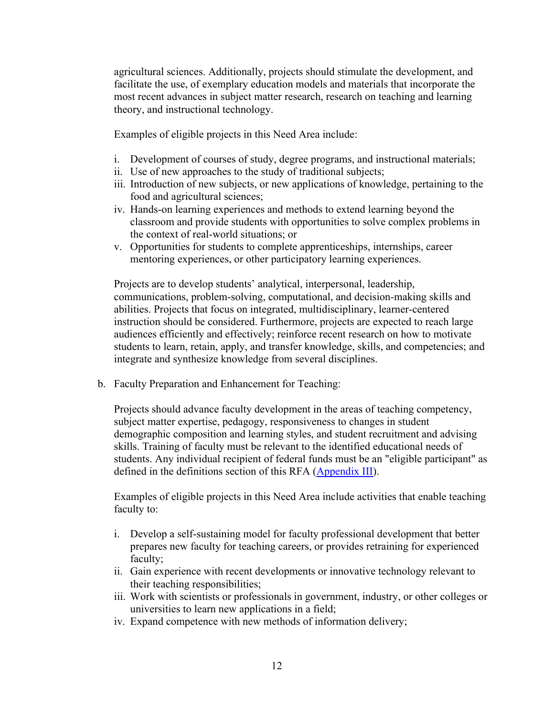agricultural sciences. Additionally, projects should stimulate the development, and facilitate the use, of exemplary education models and materials that incorporate the most recent advances in subject matter research, research on teaching and learning theory, and instructional technology.

Examples of eligible projects in this Need Area include:

- i. Development of courses of study, degree programs, and instructional materials;
- ii. Use of new approaches to the study of traditional subjects;
- iii. Introduction of new subjects, or new applications of knowledge, pertaining to the food and agricultural sciences;
- iv. Hands-on learning experiences and methods to extend learning beyond the classroom and provide students with opportunities to solve complex problems in the context of real-world situations; or
- v. Opportunities for students to complete apprenticeships, internships, career mentoring experiences, or other participatory learning experiences.

Projects are to develop students' analytical, interpersonal, leadership, communications, problem-solving, computational, and decision-making skills and abilities. Projects that focus on integrated, multidisciplinary, learner-centered instruction should be considered. Furthermore, projects are expected to reach large audiences efficiently and effectively; reinforce recent research on how to motivate students to learn, retain, apply, and transfer knowledge, skills, and competencies; and integrate and synthesize knowledge from several disciplines.

b. Faculty Preparation and Enhancement for Teaching:

Projects should advance faculty development in the areas of teaching competency, subject matter expertise, pedagogy, responsiveness to changes in student demographic composition and learning styles, and student recruitment and advising skills. Training of faculty must be relevant to the identified educational needs of students. Any individual recipient of federal funds must be an "eligible participant" as defined in the definitions section of this RFA [\(Appendix III\)](#page-34-1).

Examples of eligible projects in this Need Area include activities that enable teaching faculty to:

- i. Develop a self-sustaining model for faculty professional development that better prepares new faculty for teaching careers, or provides retraining for experienced faculty;
- ii. Gain experience with recent developments or innovative technology relevant to their teaching responsibilities;
- iii. Work with scientists or professionals in government, industry, or other colleges or universities to learn new applications in a field;
- iv. Expand competence with new methods of information delivery;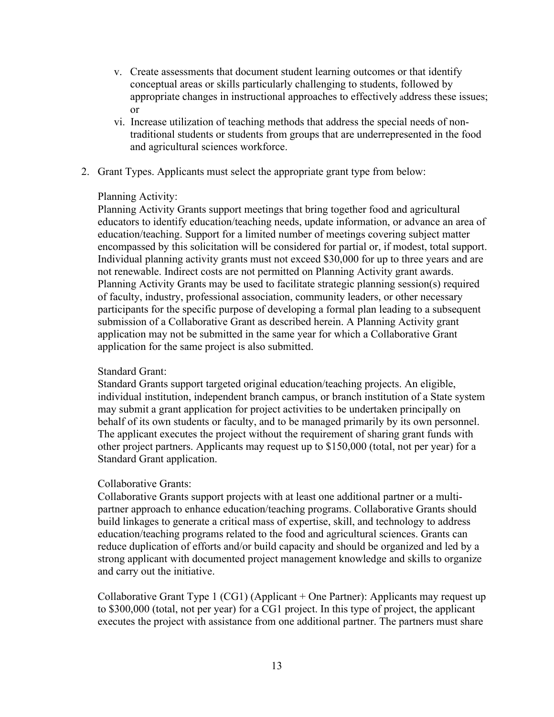- v. Create assessments that document student learning outcomes or that identify conceptual areas or skills particularly challenging to students, followed by appropriate changes in instructional approaches to effectively address these issues; or
- vi. Increase utilization of teaching methods that address the special needs of nontraditional students or students from groups that are underrepresented in the food and agricultural sciences workforce.
- 2. Grant Types. Applicants must select the appropriate grant type from below:

#### Planning Activity:

Planning Activity Grants support meetings that bring together food and agricultural educators to identify education/teaching needs, update information, or advance an area of education/teaching. Support for a limited number of meetings covering subject matter encompassed by this solicitation will be considered for partial or, if modest, total support. Individual planning activity grants must not exceed \$30,000 for up to three years and are not renewable. Indirect costs are not permitted on Planning Activity grant awards. Planning Activity Grants may be used to facilitate strategic planning session(s) required of faculty, industry, professional association, community leaders, or other necessary participants for the specific purpose of developing a formal plan leading to a subsequent submission of a Collaborative Grant as described herein. A Planning Activity grant application may not be submitted in the same year for which a Collaborative Grant application for the same project is also submitted.

#### Standard Grant:

Standard Grants support targeted original education/teaching projects. An eligible, individual institution, independent branch campus, or branch institution of a State system may submit a grant application for project activities to be undertaken principally on behalf of its own students or faculty, and to be managed primarily by its own personnel. The applicant executes the project without the requirement of sharing grant funds with other project partners. Applicants may request up to \$150,000 (total, not per year) for a Standard Grant application.

#### Collaborative Grants:

Collaborative Grants support projects with at least one additional partner or a multipartner approach to enhance education/teaching programs. Collaborative Grants should build linkages to generate a critical mass of expertise, skill, and technology to address education/teaching programs related to the food and agricultural sciences. Grants can reduce duplication of efforts and/or build capacity and should be organized and led by a strong applicant with documented project management knowledge and skills to organize and carry out the initiative.

Collaborative Grant Type 1 (CG1) (Applicant + One Partner): Applicants may request up to \$300,000 (total, not per year) for a CG1 project. In this type of project, the applicant executes the project with assistance from one additional partner. The partners must share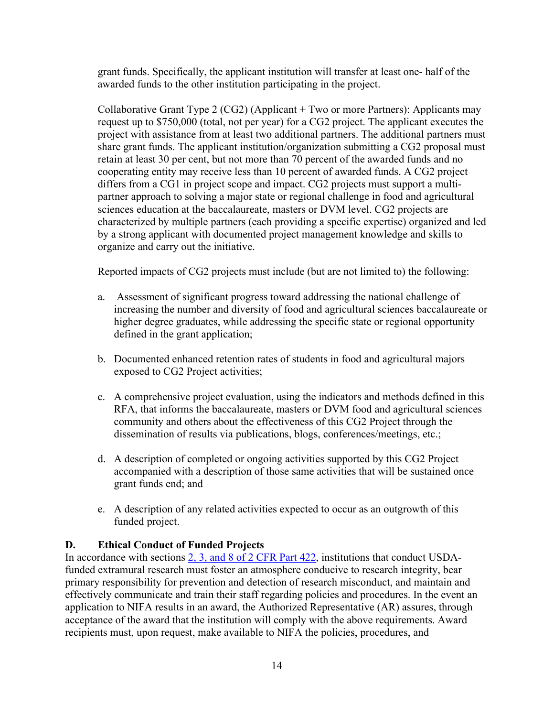grant funds. Specifically, the applicant institution will transfer at least one- half of the awarded funds to the other institution participating in the project.

Collaborative Grant Type 2 (CG2) (Applicant + Two or more Partners): Applicants may request up to \$750,000 (total, not per year) for a CG2 project. The applicant executes the project with assistance from at least two additional partners. The additional partners must share grant funds. The applicant institution/organization submitting a CG2 proposal must retain at least 30 per cent, but not more than 70 percent of the awarded funds and no cooperating entity may receive less than 10 percent of awarded funds. A CG2 project differs from a CG1 in project scope and impact. CG2 projects must support a multipartner approach to solving a major state or regional challenge in food and agricultural sciences education at the baccalaureate, masters or DVM level. CG2 projects are characterized by multiple partners (each providing a specific expertise) organized and led by a strong applicant with documented project management knowledge and skills to organize and carry out the initiative.

Reported impacts of CG2 projects must include (but are not limited to) the following:

- a. Assessment of significant progress toward addressing the national challenge of increasing the number and diversity of food and agricultural sciences baccalaureate or higher degree graduates, while addressing the specific state or regional opportunity defined in the grant application;
- b. Documented enhanced retention rates of students in food and agricultural majors exposed to CG2 Project activities;
- c. A comprehensive project evaluation, using the indicators and methods defined in this RFA, that informs the baccalaureate, masters or DVM food and agricultural sciences community and others about the effectiveness of this CG2 Project through the dissemination of results via publications, blogs, conferences/meetings, etc.;
- d. A description of completed or ongoing activities supported by this CG2 Project accompanied with a description of those same activities that will be sustained once grant funds end; and
- e. A description of any related activities expected to occur as an outgrowth of this funded project.

# <span id="page-13-0"></span>**D. Ethical Conduct of Funded Projects**

In accordance with sections [2, 3, and 8 of 2 CFR Part 422,](https://www.ecfr.gov/cgi-bin/text-idx?SID=3f96ab05cf1fc2d2713e5e46755e7696&mc=true&node=pt2.1.422&rgn=div5#se2.1.422_12) institutions that conduct USDAfunded extramural research must foster an atmosphere conducive to research integrity, bear primary responsibility for prevention and detection of research misconduct, and maintain and effectively communicate and train their staff regarding policies and procedures. In the event an application to NIFA results in an award, the Authorized Representative (AR) assures, through acceptance of the award that the institution will comply with the above requirements. Award recipients must, upon request, make available to NIFA the policies, procedures, and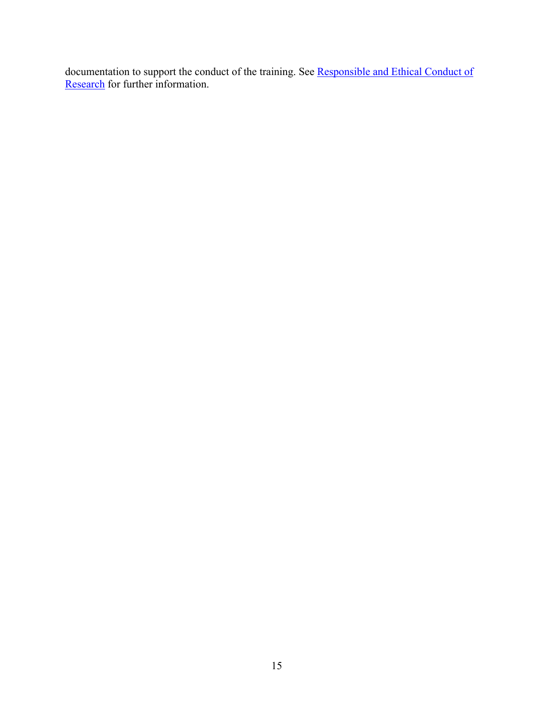documentation to support the conduct of the training. See Responsible and Ethical Conduct of [Research](https://nifa.usda.gov/responsible-and-ethical-conduct-research) for further information.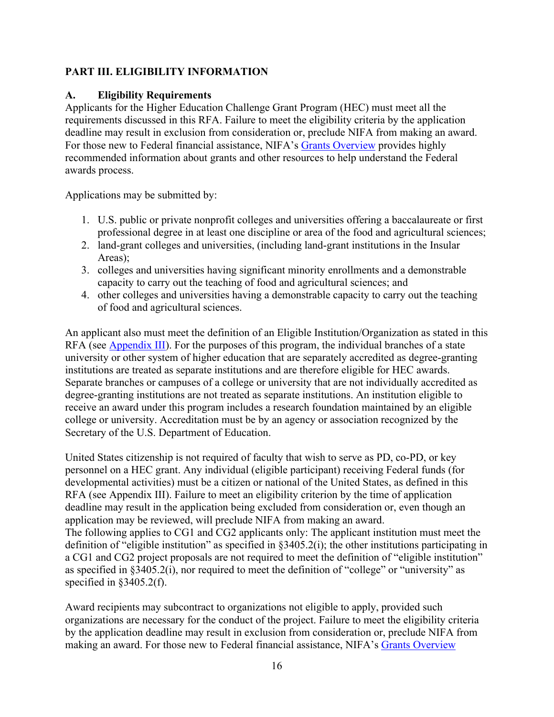## <span id="page-15-0"></span>**PART III. ELIGIBILITY INFORMATION**

## <span id="page-15-1"></span>**A. Eligibility Requirements**

Applicants for the Higher Education Challenge Grant Program (HEC) must meet all the requirements discussed in this RFA. Failure to meet the eligibility criteria by the application deadline may result in exclusion from consideration or, preclude NIFA from making an award. For those new to Federal financial assistance, NIFA's [Grants Overview](https://nifa.usda.gov/resource/grants-overview) provides highly recommended information about grants and other resources to help understand the Federal awards process.

Applications may be submitted by:

- 1. U.S. public or private nonprofit colleges and universities offering a baccalaureate or first professional degree in at least one discipline or area of the food and agricultural sciences;
- 2. land-grant colleges and universities, (including land-grant institutions in the Insular Areas);
- 3. colleges and universities having significant minority enrollments and a demonstrable capacity to carry out the teaching of food and agricultural sciences; and
- 4. other colleges and universities having a demonstrable capacity to carry out the teaching of food and agricultural sciences.

An applicant also must meet the definition of an Eligible Institution/Organization as stated in this RFA (see [Appendix III\)](#page-34-1). For the purposes of this program, the individual branches of a state university or other system of higher education that are separately accredited as degree-granting institutions are treated as separate institutions and are therefore eligible for HEC awards. Separate branches or campuses of a college or university that are not individually accredited as degree-granting institutions are not treated as separate institutions. An institution eligible to receive an award under this program includes a research foundation maintained by an eligible college or university. Accreditation must be by an agency or association recognized by the Secretary of the U.S. Department of Education.

United States citizenship is not required of faculty that wish to serve as PD, co-PD, or key personnel on a HEC grant. Any individual (eligible participant) receiving Federal funds (for developmental activities) must be a citizen or national of the United States, as defined in this RFA (see Appendix III). Failure to meet an eligibility criterion by the time of application deadline may result in the application being excluded from consideration or, even though an application may be reviewed, will preclude NIFA from making an award. The following applies to CG1 and CG2 applicants only: The applicant institution must meet the definition of "eligible institution" as specified in §3405.2(i); the other institutions participating in a CG1 and CG2 project proposals are not required to meet the definition of "eligible institution" as specified in §3405.2(i), nor required to meet the definition of "college" or "university" as specified in §3405.2(f).

Award recipients may subcontract to organizations not eligible to apply, provided such organizations are necessary for the conduct of the project. Failure to meet the eligibility criteria by the application deadline may result in exclusion from consideration or, preclude NIFA from making an award. For those new to Federal financial assistance, NIFA's [Grants Overview](https://nifa.usda.gov/resource/grants-overview)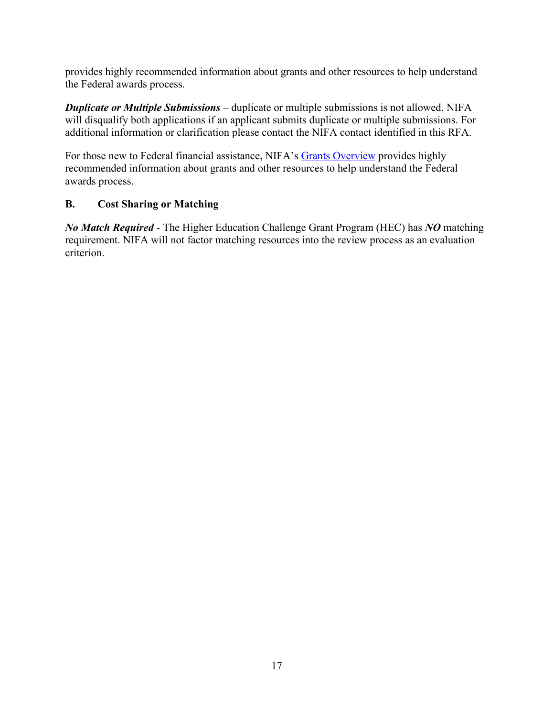provides highly recommended information about grants and other resources to help understand the Federal awards process.

*Duplicate or Multiple Submissions* – duplicate or multiple submissions is not allowed. NIFA will disqualify both applications if an applicant submits duplicate or multiple submissions. For additional information or clarification please contact the NIFA contact identified in this RFA.

For those new to Federal financial assistance, NIFA's [Grants Overview](https://nifa.usda.gov/resource/grants-overview) provides highly recommended information about grants and other resources to help understand the Federal awards process.

## <span id="page-16-0"></span>**B. Cost Sharing or Matching**

*No Match Required* - The Higher Education Challenge Grant Program (HEC) has *NO* matching requirement. NIFA will not factor matching resources into the review process as an evaluation criterion.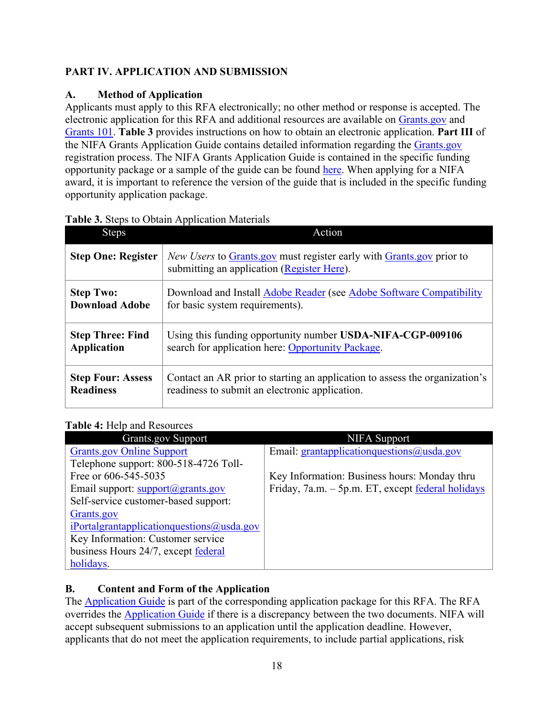# <span id="page-17-0"></span>**PART IV. APPLICATION AND SUBMISSION**

# <span id="page-17-1"></span>**A. Method of Application**

Applicants must apply to this RFA electronically; no other method or response is accepted. The electronic application for this RFA and additional resources are available on [Grants.gov](https://www.grants.gov/) and [Grants 101.](https://www.grants.gov/web/grants/learn-grants/grants-101/pre-award-phase.html/) **Table 3** provides instructions on how to obtain an electronic application. **Part III** of the NIFA Grants Application Guide contains detailed information regarding the [Grants.gov](https://www.grants.gov/) registration process. The NIFA Grants Application Guide is contained in the specific funding opportunity package or a sample of the guide can be found [here.](https://nifa.usda.gov/resource/nifa-grantsgov-application-guide) When applying for a NIFA award, it is important to reference the version of the guide that is included in the specific funding opportunity application package.

| <b>Steps</b>              | Action                                                                                                                    |  |
|---------------------------|---------------------------------------------------------------------------------------------------------------------------|--|
| <b>Step One: Register</b> | <i>New Users</i> to Grants gov must register early with Grants gov prior to<br>submitting an application (Register Here). |  |
| <b>Step Two:</b>          | Download and Install Adobe Reader (see Adobe Software Compatibility                                                       |  |
| <b>Download Adobe</b>     | for basic system requirements).                                                                                           |  |
| <b>Step Three: Find</b>   | Using this funding opportunity number USDA-NIFA-CGP-009106                                                                |  |
| <b>Application</b>        | search for application here: Opportunity Package.                                                                         |  |
| <b>Step Four: Assess</b>  | Contact an AR prior to starting an application to assess the organization's                                               |  |
| <b>Readiness</b>          | readiness to submit an electronic application.                                                                            |  |

## <span id="page-17-3"></span>**Table 3.** Steps to Obtain Application Materials

# <span id="page-17-4"></span>**Table 4:** Help and Resources

| <b>Grants.gov Support</b>                               | <b>NIFA</b> Support                               |
|---------------------------------------------------------|---------------------------------------------------|
| <b>Grants.gov Online Support</b>                        | Email: $grantapplication questions@usda.gov$      |
| Telephone support: 800-518-4726 Toll-                   |                                                   |
| Free or 606-545-5035                                    | Key Information: Business hours: Monday thru      |
| Email support: $\frac{\text{support}(a)}{\text{grams}}$ | Friday, 7a.m. - 5p.m. ET, except federal holidays |
| Self-service customer-based support:                    |                                                   |
| Grants.gov                                              |                                                   |
| iPortalgrantapplicationquestions@usda.gov               |                                                   |
| Key Information: Customer service                       |                                                   |
| business Hours 24/7, except federal                     |                                                   |
| holidays.                                               |                                                   |

# <span id="page-17-2"></span>**B. Content and Form of the Application**

The [Application Guide](https://apply07.grants.gov/apply/opportunities/instructions/PKG00249520-instructions.pdf) is part of the corresponding application package for this RFA. The RFA overrides the [Application Guide](https://apply07.grants.gov/apply/opportunities/instructions/PKG00249520-instructions.pdf) if there is a discrepancy between the two documents. NIFA will accept subsequent submissions to an application until the application deadline. However, applicants that do not meet the application requirements, to include partial applications, risk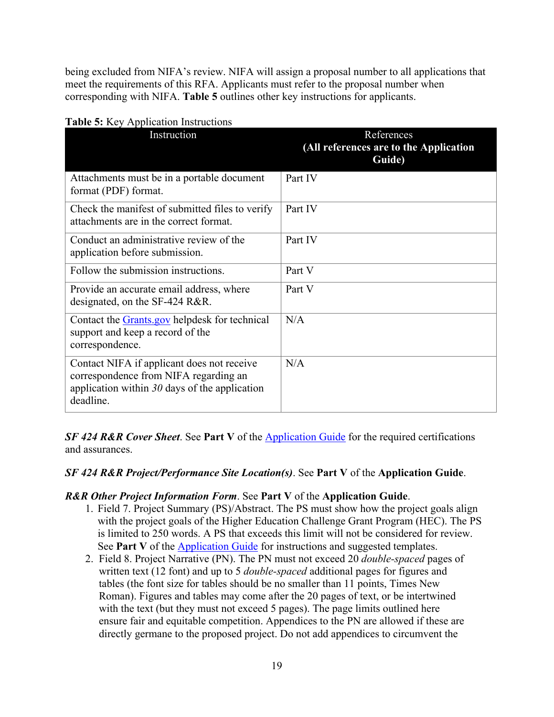being excluded from NIFA's review. NIFA will assign a proposal number to all applications that meet the requirements of this RFA. Applicants must refer to the proposal number when corresponding with NIFA. **Table 5** outlines other key instructions for applicants.

| Instruction                                                                                                                                         | References<br>(All references are to the Application<br>Guide) |
|-----------------------------------------------------------------------------------------------------------------------------------------------------|----------------------------------------------------------------|
| Attachments must be in a portable document<br>format (PDF) format.                                                                                  | Part IV                                                        |
| Check the manifest of submitted files to verify<br>attachments are in the correct format.                                                           | Part IV                                                        |
| Conduct an administrative review of the<br>application before submission.                                                                           | Part IV                                                        |
| Follow the submission instructions.                                                                                                                 | Part V                                                         |
| Provide an accurate email address, where<br>designated, on the SF-424 R&R.                                                                          | Part V                                                         |
| Contact the <b>Grants</b> gov helpdesk for technical<br>support and keep a record of the<br>correspondence.                                         | N/A                                                            |
| Contact NIFA if applicant does not receive<br>correspondence from NIFA regarding an<br>application within $30$ days of the application<br>deadline. | N/A                                                            |

## <span id="page-18-0"></span>**Table 5:** Key Application Instructions

**SF 424 R&R Cover Sheet.** See **Part V** of the [Application Guide](https://apply07.grants.gov/apply/opportunities/instructions/PKG00249520-instructions.pdf) for the required certifications and assurances.

#### *SF 424 R&R Project/Performance Site Location(s)*. See **Part V** of the **Application Guide**.

## *R&R Other Project Information Form*. See **Part V** of the **Application Guide**.

- 1. Field 7. Project Summary (PS)/Abstract. The PS must show how the project goals align with the project goals of the Higher Education Challenge Grant Program (HEC). The PS is limited to 250 words. A PS that exceeds this limit will not be considered for review. See **Part V** of the [Application Guide](https://apply07.grants.gov/apply/opportunities/instructions/PKG00249520-instructions.pdf) for instructions and suggested templates.
- 2. Field 8. Project Narrative (PN). The PN must not exceed 20 *double-spaced* pages of written text (12 font) and up to 5 *double-spaced* additional pages for figures and tables (the font size for tables should be no smaller than 11 points, Times New Roman). Figures and tables may come after the 20 pages of text, or be intertwined with the text (but they must not exceed 5 pages). The page limits outlined here ensure fair and equitable competition. Appendices to the PN are allowed if these are directly germane to the proposed project. Do not add appendices to circumvent the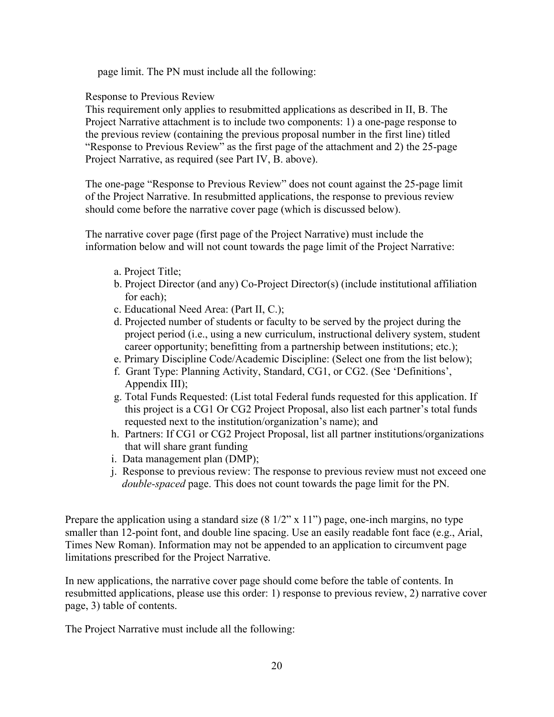page limit. The PN must include all the following:

Response to Previous Review

This requirement only applies to resubmitted applications as described in II, B. The Project Narrative attachment is to include two components: 1) a one-page response to the previous review (containing the previous proposal number in the first line) titled "Response to Previous Review" as the first page of the attachment and 2) the 25-page Project Narrative, as required (see Part IV, B. above).

The one-page "Response to Previous Review" does not count against the 25-page limit of the Project Narrative. In resubmitted applications, the response to previous review should come before the narrative cover page (which is discussed below).

The narrative cover page (first page of the Project Narrative) must include the information below and will not count towards the page limit of the Project Narrative:

- a. Project Title;
- b. Project Director (and any) Co-Project Director(s) (include institutional affiliation for each);
- c. Educational Need Area: (Part II, C.);
- d. Projected number of students or faculty to be served by the project during the project period (i.e., using a new curriculum, instructional delivery system, student career opportunity; benefitting from a partnership between institutions; etc.);
- e. Primary Discipline Code/Academic Discipline: (Select one from the list below);
- f. Grant Type: Planning Activity, Standard, CG1, or CG2. (See 'Definitions', Appendix III);
- g. Total Funds Requested: (List total Federal funds requested for this application. If this project is a CG1 Or CG2 Project Proposal, also list each partner's total funds requested next to the institution/organization's name); and
- h. Partners: If CG1 or CG2 Project Proposal, list all partner institutions/organizations that will share grant funding
- i. Data management plan (DMP);
- j. Response to previous review: The response to previous review must not exceed one *double-spaced* page. This does not count towards the page limit for the PN.

Prepare the application using a standard size  $(8 \frac{1}{2}$ " x  $11$ ") page, one-inch margins, no type smaller than 12-point font, and double line spacing. Use an easily readable font face (e.g., Arial, Times New Roman). Information may not be appended to an application to circumvent page limitations prescribed for the Project Narrative.

In new applications, the narrative cover page should come before the table of contents. In resubmitted applications, please use this order: 1) response to previous review, 2) narrative cover page, 3) table of contents.

The Project Narrative must include all the following: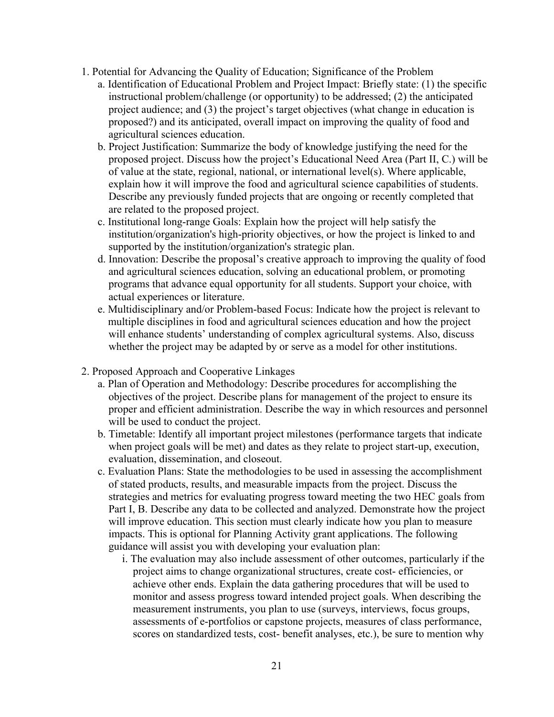- 1. Potential for Advancing the Quality of Education; Significance of the Problem
	- a. Identification of Educational Problem and Project Impact: Briefly state: (1) the specific instructional problem/challenge (or opportunity) to be addressed; (2) the anticipated project audience; and (3) the project's target objectives (what change in education is proposed?) and its anticipated, overall impact on improving the quality of food and agricultural sciences education.
	- b. Project Justification: Summarize the body of knowledge justifying the need for the proposed project. Discuss how the project's Educational Need Area (Part II, C.) will be of value at the state, regional, national, or international level(s). Where applicable, explain how it will improve the food and agricultural science capabilities of students. Describe any previously funded projects that are ongoing or recently completed that are related to the proposed project.
	- c. Institutional long-range Goals: Explain how the project will help satisfy the institution/organization's high-priority objectives, or how the project is linked to and supported by the institution/organization's strategic plan.
	- d. Innovation: Describe the proposal's creative approach to improving the quality of food and agricultural sciences education, solving an educational problem, or promoting programs that advance equal opportunity for all students. Support your choice, with actual experiences or literature.
	- e. Multidisciplinary and/or Problem-based Focus: Indicate how the project is relevant to multiple disciplines in food and agricultural sciences education and how the project will enhance students' understanding of complex agricultural systems. Also, discuss whether the project may be adapted by or serve as a model for other institutions.
- 2. Proposed Approach and Cooperative Linkages
	- a. Plan of Operation and Methodology: Describe procedures for accomplishing the objectives of the project. Describe plans for management of the project to ensure its proper and efficient administration. Describe the way in which resources and personnel will be used to conduct the project.
	- b. Timetable: Identify all important project milestones (performance targets that indicate when project goals will be met) and dates as they relate to project start-up, execution, evaluation, dissemination, and closeout.
	- c. Evaluation Plans: State the methodologies to be used in assessing the accomplishment of stated products, results, and measurable impacts from the project. Discuss the strategies and metrics for evaluating progress toward meeting the two HEC goals from Part I, B. Describe any data to be collected and analyzed. Demonstrate how the project will improve education. This section must clearly indicate how you plan to measure impacts. This is optional for Planning Activity grant applications. The following guidance will assist you with developing your evaluation plan:
		- i. The evaluation may also include assessment of other outcomes, particularly if the project aims to change organizational structures, create cost- efficiencies, or achieve other ends. Explain the data gathering procedures that will be used to monitor and assess progress toward intended project goals. When describing the measurement instruments, you plan to use (surveys, interviews, focus groups, assessments of e-portfolios or capstone projects, measures of class performance, scores on standardized tests, cost- benefit analyses, etc.), be sure to mention why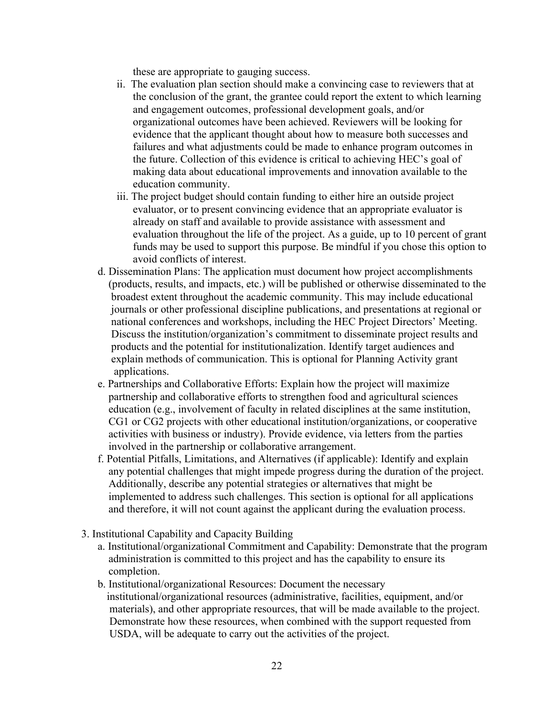these are appropriate to gauging success.

- ii. The evaluation plan section should make a convincing case to reviewers that at the conclusion of the grant, the grantee could report the extent to which learning and engagement outcomes, professional development goals, and/or organizational outcomes have been achieved. Reviewers will be looking for evidence that the applicant thought about how to measure both successes and failures and what adjustments could be made to enhance program outcomes in the future. Collection of this evidence is critical to achieving HEC's goal of making data about educational improvements and innovation available to the education community.
- iii. The project budget should contain funding to either hire an outside project evaluator, or to present convincing evidence that an appropriate evaluator is already on staff and available to provide assistance with assessment and evaluation throughout the life of the project. As a guide, up to 10 percent of grant funds may be used to support this purpose. Be mindful if you chose this option to avoid conflicts of interest.
- d. Dissemination Plans: The application must document how project accomplishments (products, results, and impacts, etc.) will be published or otherwise disseminated to the broadest extent throughout the academic community. This may include educational journals or other professional discipline publications, and presentations at regional or national conferences and workshops, including the HEC Project Directors' Meeting. Discuss the institution/organization's commitment to disseminate project results and products and the potential for institutionalization. Identify target audiences and explain methods of communication. This is optional for Planning Activity grant applications.
- e. Partnerships and Collaborative Efforts: Explain how the project will maximize partnership and collaborative efforts to strengthen food and agricultural sciences education (e.g., involvement of faculty in related disciplines at the same institution, CG1 or CG2 projects with other educational institution/organizations, or cooperative activities with business or industry). Provide evidence, via letters from the parties involved in the partnership or collaborative arrangement.
- f. Potential Pitfalls, Limitations, and Alternatives (if applicable): Identify and explain any potential challenges that might impede progress during the duration of the project. Additionally, describe any potential strategies or alternatives that might be implemented to address such challenges. This section is optional for all applications and therefore, it will not count against the applicant during the evaluation process.
- 3. Institutional Capability and Capacity Building
	- a. Institutional/organizational Commitment and Capability: Demonstrate that the program administration is committed to this project and has the capability to ensure its completion.
	- b. Institutional/organizational Resources: Document the necessary institutional/organizational resources (administrative, facilities, equipment, and/or materials), and other appropriate resources, that will be made available to the project. Demonstrate how these resources, when combined with the support requested from USDA, will be adequate to carry out the activities of the project.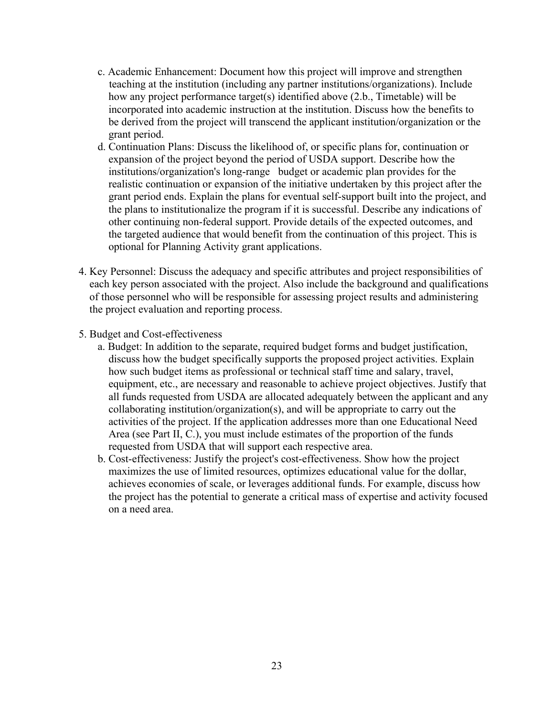- c. Academic Enhancement: Document how this project will improve and strengthen teaching at the institution (including any partner institutions/organizations). Include how any project performance target(s) identified above (2.b., Timetable) will be incorporated into academic instruction at the institution. Discuss how the benefits to be derived from the project will transcend the applicant institution/organization or the grant period.
- d. Continuation Plans: Discuss the likelihood of, or specific plans for, continuation or expansion of the project beyond the period of USDA support. Describe how the institutions/organization's long-range budget or academic plan provides for the realistic continuation or expansion of the initiative undertaken by this project after the grant period ends. Explain the plans for eventual self-support built into the project, and the plans to institutionalize the program if it is successful. Describe any indications of other continuing non-federal support. Provide details of the expected outcomes, and the targeted audience that would benefit from the continuation of this project. This is optional for Planning Activity grant applications.
- 4. Key Personnel: Discuss the adequacy and specific attributes and project responsibilities of each key person associated with the project. Also include the background and qualifications of those personnel who will be responsible for assessing project results and administering the project evaluation and reporting process.
- 5. Budget and Cost-effectiveness
	- a. Budget: In addition to the separate, required budget forms and budget justification, discuss how the budget specifically supports the proposed project activities. Explain how such budget items as professional or technical staff time and salary, travel, equipment, etc., are necessary and reasonable to achieve project objectives. Justify that all funds requested from USDA are allocated adequately between the applicant and any collaborating institution/organization(s), and will be appropriate to carry out the activities of the project. If the application addresses more than one Educational Need Area (see Part II, C.), you must include estimates of the proportion of the funds requested from USDA that will support each respective area.
	- b. Cost-effectiveness: Justify the project's cost-effectiveness. Show how the project maximizes the use of limited resources, optimizes educational value for the dollar, achieves economies of scale, or leverages additional funds. For example, discuss how the project has the potential to generate a critical mass of expertise and activity focused on a need area.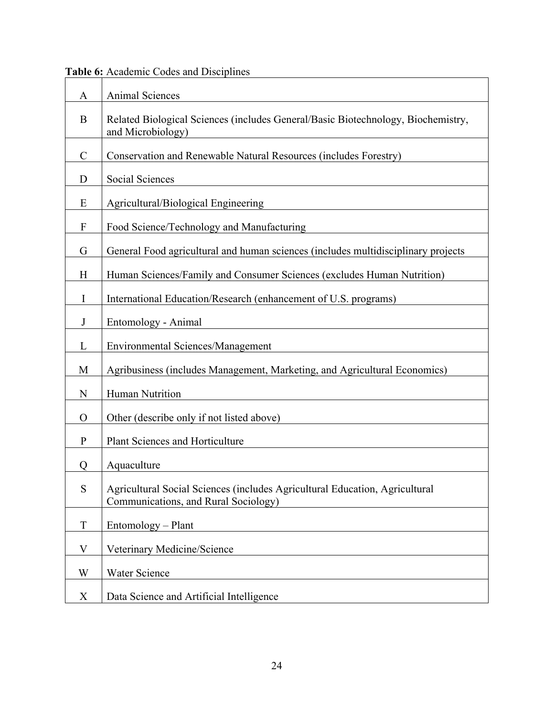| A                         | <b>Animal Sciences</b>                                                                                              |
|---------------------------|---------------------------------------------------------------------------------------------------------------------|
| B                         | Related Biological Sciences (includes General/Basic Biotechnology, Biochemistry,<br>and Microbiology)               |
| $\mathcal{C}$             | Conservation and Renewable Natural Resources (includes Forestry)                                                    |
| D                         | Social Sciences                                                                                                     |
| E                         | Agricultural/Biological Engineering                                                                                 |
| $\boldsymbol{\mathrm{F}}$ | Food Science/Technology and Manufacturing                                                                           |
| G                         | General Food agricultural and human sciences (includes multidisciplinary projects                                   |
| H                         | Human Sciences/Family and Consumer Sciences (excludes Human Nutrition)                                              |
| I                         | International Education/Research (enhancement of U.S. programs)                                                     |
| J                         | Entomology - Animal                                                                                                 |
| L                         | <b>Environmental Sciences/Management</b>                                                                            |
| M                         | Agribusiness (includes Management, Marketing, and Agricultural Economics)                                           |
| $\mathbf N$               | Human Nutrition                                                                                                     |
| $\Omega$                  | Other (describe only if not listed above)                                                                           |
| P                         | Plant Sciences and Horticulture                                                                                     |
| Q                         | Aquaculture                                                                                                         |
| S                         | Agricultural Social Sciences (includes Agricultural Education, Agricultural<br>Communications, and Rural Sociology) |
| T                         | Entomology – Plant                                                                                                  |
| V                         | Veterinary Medicine/Science                                                                                         |
| W                         | <b>Water Science</b>                                                                                                |
| X                         | Data Science and Artificial Intelligence                                                                            |

<span id="page-23-0"></span>**Table 6:** Academic Codes and Disciplines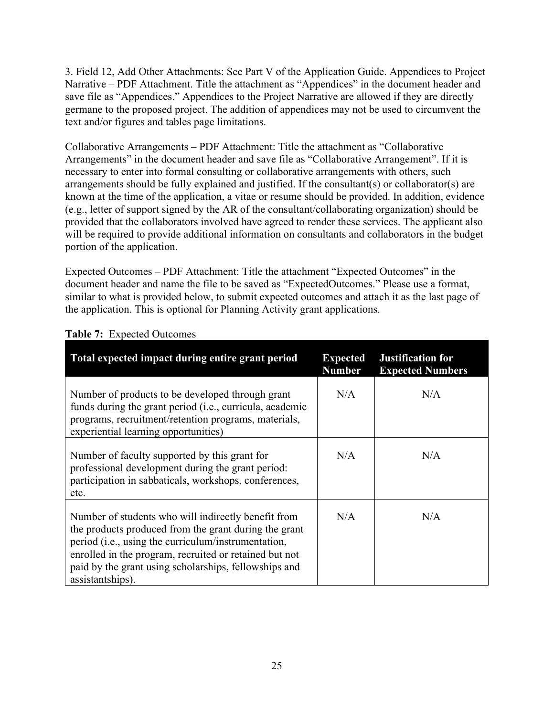3. Field 12, Add Other Attachments: See Part V of the Application Guide. Appendices to Project Narrative – PDF Attachment. Title the attachment as "Appendices" in the document header and save file as "Appendices." Appendices to the Project Narrative are allowed if they are directly germane to the proposed project. The addition of appendices may not be used to circumvent the text and/or figures and tables page limitations.

Collaborative Arrangements – PDF Attachment: Title the attachment as "Collaborative Arrangements" in the document header and save file as "Collaborative Arrangement". If it is necessary to enter into formal consulting or collaborative arrangements with others, such arrangements should be fully explained and justified. If the consultant(s) or collaborator(s) are known at the time of the application, a vitae or resume should be provided. In addition, evidence (e.g., letter of support signed by the AR of the consultant/collaborating organization) should be provided that the collaborators involved have agreed to render these services. The applicant also will be required to provide additional information on consultants and collaborators in the budget portion of the application.

Expected Outcomes – PDF Attachment: Title the attachment "Expected Outcomes" in the document header and name the file to be saved as "ExpectedOutcomes." Please use a format, similar to what is provided below, to submit expected outcomes and attach it as the last page of the application. This is optional for Planning Activity grant applications.

| Total expected impact during entire grant period                                                                                                                                                                                                                                                           | <b>Expected</b><br><b>Number</b> | <b>Justification for</b><br><b>Expected Numbers</b> |
|------------------------------------------------------------------------------------------------------------------------------------------------------------------------------------------------------------------------------------------------------------------------------------------------------------|----------------------------------|-----------------------------------------------------|
| Number of products to be developed through grant<br>funds during the grant period ( <i>i.e.</i> , curricula, academic<br>programs, recruitment/retention programs, materials,<br>experiential learning opportunities)                                                                                      | N/A                              | N/A                                                 |
| Number of faculty supported by this grant for<br>professional development during the grant period:<br>participation in sabbaticals, workshops, conferences,<br>etc.                                                                                                                                        | N/A                              | N/A                                                 |
| Number of students who will indirectly benefit from<br>the products produced from the grant during the grant<br>period (i.e., using the curriculum/instrumentation,<br>enrolled in the program, recruited or retained but not<br>paid by the grant using scholarships, fellowships and<br>assistantships). | N/A                              | N/A                                                 |

#### <span id="page-24-0"></span>**Table 7:** Expected Outcomes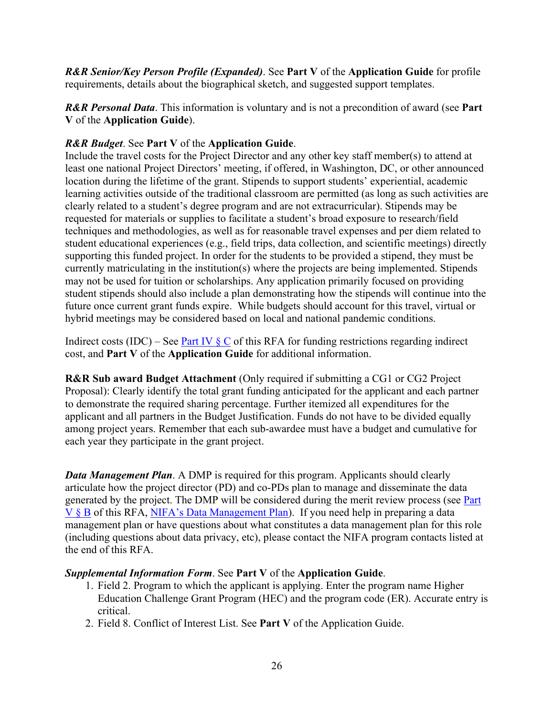*R&R Senior/Key Person Profile (Expanded)*. See **Part V** of the **Application Guide** for profile requirements, details about the biographical sketch, and suggested support templates.

*R&R Personal Data*. This information is voluntary and is not a precondition of award (see **Part V** of the **Application Guide**).

## *R&R Budget*. See **Part V** of the **Application Guide**.

Include the travel costs for the Project Director and any other key staff member(s) to attend at least one national Project Directors' meeting, if offered, in Washington, DC, or other announced location during the lifetime of the grant. Stipends to support students' experiential, academic learning activities outside of the traditional classroom are permitted (as long as such activities are clearly related to a student's degree program and are not extracurricular). Stipends may be requested for materials or supplies to facilitate a student's broad exposure to research/field techniques and methodologies, as well as for reasonable travel expenses and per diem related to student educational experiences (e.g., field trips, data collection, and scientific meetings) directly supporting this funded project. In order for the students to be provided a stipend, they must be currently matriculating in the institution(s) where the projects are being implemented. Stipends may not be used for tuition or scholarships. Any application primarily focused on providing student stipends should also include a plan demonstrating how the stipends will continue into the future once current grant funds expire. While budgets should account for this travel, virtual or hybrid meetings may be considered based on local and national pandemic conditions.

Indirect costs (IDC) – See Part IV  $\S$  C of this RFA for funding restrictions regarding indirect cost, and **Part V** of the **Application Guide** for additional information.

**R&R Sub award Budget Attachment** (Only required if submitting a CG1 or CG2 Project Proposal): Clearly identify the total grant funding anticipated for the applicant and each partner to demonstrate the required sharing percentage. Further itemized all expenditures for the applicant and all partners in the Budget Justification. Funds do not have to be divided equally among project years. Remember that each sub-awardee must have a budget and cumulative for each year they participate in the grant project.

*Data Management Plan.* A DMP is required for this program. Applicants should clearly articulate how the project director (PD) and co-PDs plan to manage and disseminate the data generated by the project. The DMP will be considered during the merit review process (see [Part](#page-28-2)  [V § B](#page-28-2) of this RFA, [NIFA's Data Management Plan\)](https://nifa.usda.gov/resource/data-management-plan-nifa-funded-research-projects). If you need help in preparing a data management plan or have questions about what constitutes a data management plan for this role (including questions about data privacy, etc), please contact the NIFA program contacts listed at the end of this RFA.

## *Supplemental Information Form*. See **Part V** of the **Application Guide**.

- 1. Field 2. Program to which the applicant is applying. Enter the program name Higher Education Challenge Grant Program (HEC) and the program code (ER). Accurate entry is critical.
- 2. Field 8. Conflict of Interest List. See **Part V** of the Application Guide.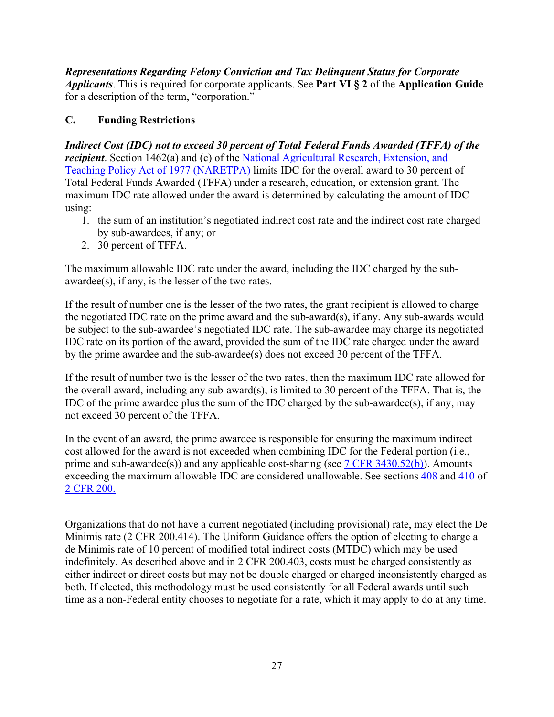*Representations Regarding Felony Conviction and Tax Delinquent Status for Corporate Applicants*. This is required for corporate applicants. See **Part VI § 2** of the **Application Guide** for a description of the term, "corporation."

# <span id="page-26-0"></span>**C. Funding Restrictions**

*Indirect Cost (IDC) not to exceed 30 percent of Total Federal Funds Awarded (TFFA) of the recipient*. Section 1462(a) and (c) of the **National Agricultural Research**, Extension, and Teaching [Policy Act of 1977 \(NARETPA\)](https://nifa.usda.gov/sites/default/files/resource/nar77.pdf) limits IDC for the overall award to 30 percent of Total Federal Funds Awarded (TFFA) under a research, education, or extension grant. The maximum IDC rate allowed under the award is determined by calculating the amount of IDC using:

- 1. the sum of an institution's negotiated indirect cost rate and the indirect cost rate charged by sub-awardees, if any; or
- 2. 30 percent of TFFA.

The maximum allowable IDC rate under the award, including the IDC charged by the subawardee(s), if any, is the lesser of the two rates.

If the result of number one is the lesser of the two rates, the grant recipient is allowed to charge the negotiated IDC rate on the prime award and the sub-award(s), if any. Any sub-awards would be subject to the sub-awardee's negotiated IDC rate. The sub-awardee may charge its negotiated IDC rate on its portion of the award, provided the sum of the IDC rate charged under the award by the prime awardee and the sub-awardee(s) does not exceed 30 percent of the TFFA.

If the result of number two is the lesser of the two rates, then the maximum IDC rate allowed for the overall award, including any sub-award(s), is limited to 30 percent of the TFFA. That is, the IDC of the prime awardee plus the sum of the IDC charged by the sub-awardee(s), if any, may not exceed 30 percent of the TFFA.

In the event of an award, the prime awardee is responsible for ensuring the maximum indirect cost allowed for the award is not exceeded when combining IDC for the Federal portion (i.e., prime and sub-awardee(s)) and any applicable cost-sharing (see [7 CFR 3430.52\(b\)\)](https://www.ecfr.gov/cgi-bin/text-idx?SID=a9b07f3b96328c9f57365947eaab4a9f&mc=true&node=pt7.15.3430&rgn=div5#se7.15.3430_152). Amounts exceeding the maximum allowable IDC are considered unallowable. See sections [408](https://www.ecfr.gov/cgi-bin/text-idx?SID=99b0d2f1cf782a71783f992ece47bb5a&mc=true&node=pt2.1.200&rgn=div5#se2.1.200_1408) and [410](https://www.ecfr.gov/cgi-bin/text-idx?SID=99b0d2f1cf782a71783f992ece47bb5a&mc=true&node=pt2.1.200&rgn=div5#se2.1.200_1410) of [2 CFR 200.](https://www.ecfr.gov/cgi-bin/text-idx?SID=99b0d2f1cf782a71783f992ece47bb5a&mc=true&node=pt2.1.200&rgn=div5) 

Organizations that do not have a current negotiated (including provisional) rate, may elect the De Minimis rate (2 CFR 200.414). The Uniform Guidance offers the option of electing to charge a de Minimis rate of 10 percent of modified total indirect costs (MTDC) which may be used indefinitely. As described above and in 2 CFR 200.403, costs must be charged consistently as either indirect or direct costs but may not be double charged or charged inconsistently charged as both. If elected, this methodology must be used consistently for all Federal awards until such time as a non-Federal entity chooses to negotiate for a rate, which it may apply to do at any time.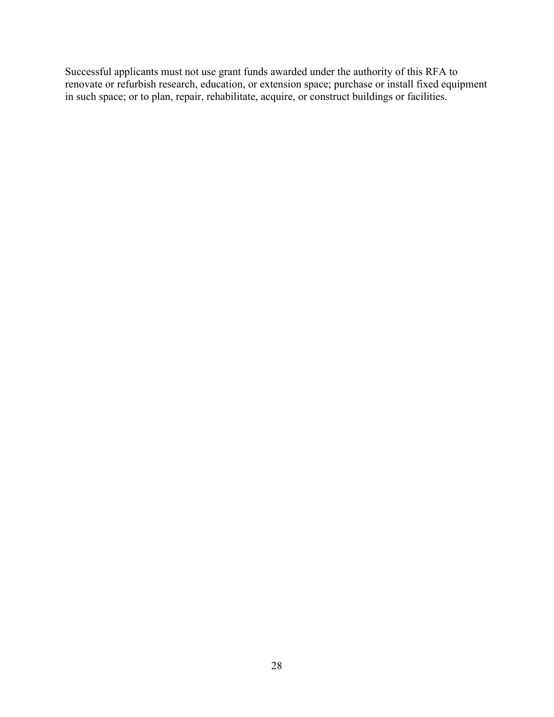Successful applicants must not use grant funds awarded under the authority of this RFA to renovate or refurbish research, education, or extension space; purchase or install fixed equipment in such space; or to plan, repair, rehabilitate, acquire, or construct buildings or facilities.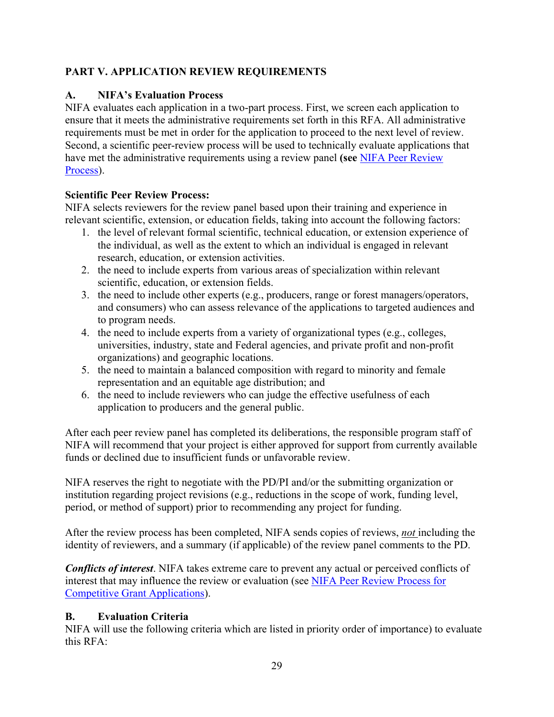# <span id="page-28-0"></span>**PART V. APPLICATION REVIEW REQUIREMENTS**

# <span id="page-28-1"></span>**A. NIFA's Evaluation Process**

NIFA evaluates each application in a two-part process. First, we screen each application to ensure that it meets the administrative requirements set forth in this RFA. All administrative requirements must be met in order for the application to proceed to the next level of review. Second, a scientific peer-review process will be used to technically evaluate applications that have met the administrative requirements using a review panel **(see** [NIFA Peer Review](https://nifa.usda.gov/sites/default/files/resource/NIFA-Peer-Review-Process-for-Competitive-Grant-Applications_0.pdf)  [Process\)](https://nifa.usda.gov/sites/default/files/resource/NIFA-Peer-Review-Process-for-Competitive-Grant-Applications_0.pdf).

# **Scientific Peer Review Process:**

NIFA selects reviewers for the review panel based upon their training and experience in relevant scientific, extension, or education fields, taking into account the following factors:

- 1. the level of relevant formal scientific, technical education, or extension experience of the individual, as well as the extent to which an individual is engaged in relevant research, education, or extension activities.
- 2. the need to include experts from various areas of specialization within relevant scientific, education, or extension fields.
- 3. the need to include other experts (e.g., producers, range or forest managers/operators, and consumers) who can assess relevance of the applications to targeted audiences and to program needs.
- 4. the need to include experts from a variety of organizational types (e.g., colleges, universities, industry, state and Federal agencies, and private profit and non-profit organizations) and geographic locations.
- 5. the need to maintain a balanced composition with regard to minority and female representation and an equitable age distribution; and
- 6. the need to include reviewers who can judge the effective usefulness of each application to producers and the general public.

After each peer review panel has completed its deliberations, the responsible program staff of NIFA will recommend that your project is either approved for support from currently available funds or declined due to insufficient funds or unfavorable review.

NIFA reserves the right to negotiate with the PD/PI and/or the submitting organization or institution regarding project revisions (e.g., reductions in the scope of work, funding level, period, or method of support) prior to recommending any project for funding.

After the review process has been completed, NIFA sends copies of reviews, *not* including the identity of reviewers, and a summary (if applicable) of the review panel comments to the PD.

*Conflicts of interest*. NIFA takes extreme care to prevent any actual or perceived conflicts of interest that may influence the review or evaluation (see [NIFA Peer Review Process for](https://nifa.usda.gov/resource/nifa-peer-review-process-competitive-grant-applications)  [Competitive Grant Applications\)](https://nifa.usda.gov/resource/nifa-peer-review-process-competitive-grant-applications).

# <span id="page-28-2"></span>**B. Evaluation Criteria**

NIFA will use the following criteria which are listed in priority order of importance) to evaluate this RFA: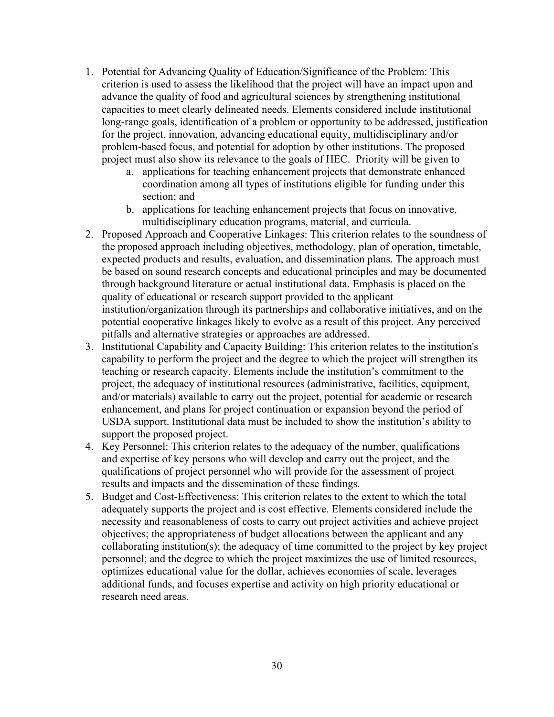- 1. Potential for Advancing Quality of Education/Significance of the Problem: This criterion is used to assess the likelihood that the project will have an impact upon and advance the quality of food and agricultural sciences by strengthening institutional capacities to meet clearly delineated needs. Elements considered include institutional long-range goals, identification of a problem or opportunity to be addressed, justification for the project, innovation, advancing educational equity, multidisciplinary and/or problem-based focus, and potential for adoption by other institutions. The proposed project must also show its relevance to the goals of HEC. Priority will be given to
	- a. applications for teaching enhancement projects that demonstrate enhanced coordination among all types of institutions eligible for funding under this section; and
	- b. applications for teaching enhancement projects that focus on innovative, multidisciplinary education programs, material, and curricula.
- 2. Proposed Approach and Cooperative Linkages: This criterion relates to the soundness of the proposed approach including objectives, methodology, plan of operation, timetable, expected products and results, evaluation, and dissemination plans. The approach must be based on sound research concepts and educational principles and may be documented through background literature or actual institutional data. Emphasis is placed on the quality of educational or research support provided to the applicant institution/organization through its partnerships and collaborative initiatives, and on the potential cooperative linkages likely to evolve as a result of this project. Any perceived pitfalls and alternative strategies or approaches are addressed.
- 3. Institutional Capability and Capacity Building: This criterion relates to the institution's capability to perform the project and the degree to which the project will strengthen its teaching or research capacity. Elements include the institution's commitment to the project, the adequacy of institutional resources (administrative, facilities, equipment, and/or materials) available to carry out the project, potential for academic or research enhancement, and plans for project continuation or expansion beyond the period of USDA support. Institutional data must be included to show the institution's ability to support the proposed project.
- 4. Key Personnel: This criterion relates to the adequacy of the number, qualifications and expertise of key persons who will develop and carry out the project, and the qualifications of project personnel who will provide for the assessment of project results and impacts and the dissemination of these findings.
- 5. Budget and Cost-Effectiveness: This criterion relates to the extent to which the total adequately supports the project and is cost effective. Elements considered include the necessity and reasonableness of costs to carry out project activities and achieve project objectives; the appropriateness of budget allocations between the applicant and any collaborating institution(s); the adequacy of time committed to the project by key project personnel; and the degree to which the project maximizes the use of limited resources, optimizes educational value for the dollar, achieves economies of scale, leverages additional funds, and focuses expertise and activity on high priority educational or research need areas.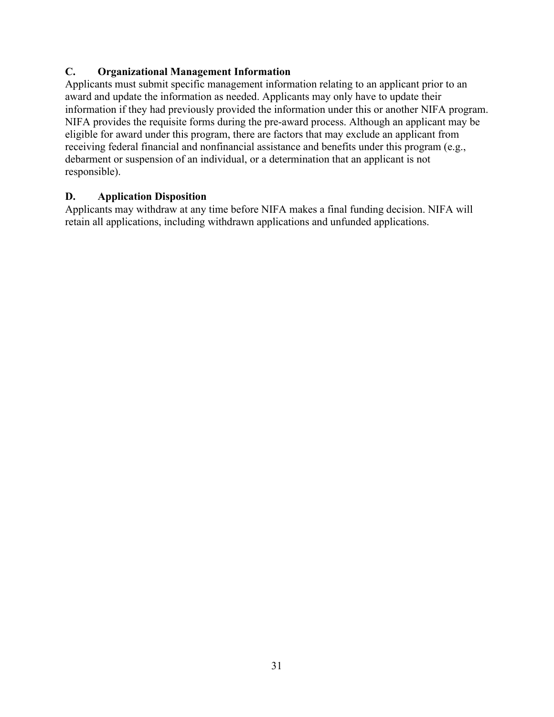## <span id="page-30-0"></span>**C. Organizational Management Information**

Applicants must submit specific management information relating to an applicant prior to an award and update the information as needed. Applicants may only have to update their information if they had previously provided the information under this or another NIFA program. NIFA provides the requisite forms during the pre-award process. Although an applicant may be eligible for award under this program, there are factors that may exclude an applicant from receiving federal financial and nonfinancial assistance and benefits under this program (e.g., debarment or suspension of an individual, or a determination that an applicant is not responsible).

## <span id="page-30-1"></span>**D. Application Disposition**

Applicants may withdraw at any time before NIFA makes a final funding decision. NIFA will retain all applications, including withdrawn applications and unfunded applications.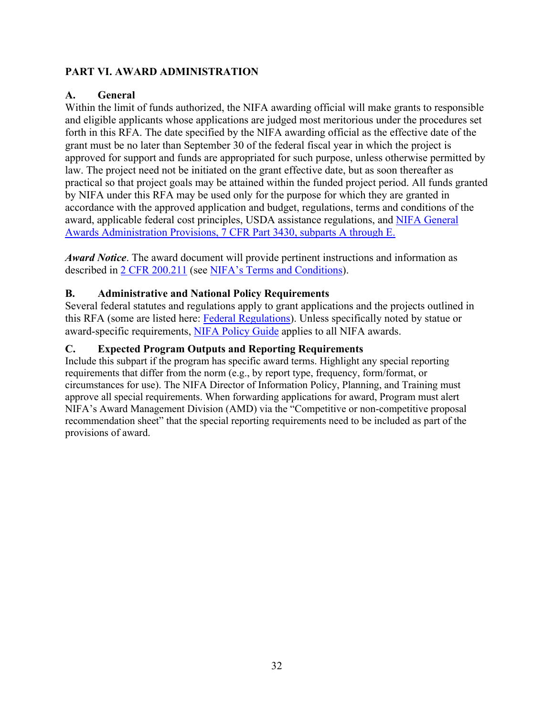## <span id="page-31-0"></span>**PART VI. AWARD ADMINISTRATION**

## <span id="page-31-1"></span>**A. General**

Within the limit of funds authorized, the NIFA awarding official will make grants to responsible and eligible applicants whose applications are judged most meritorious under the procedures set forth in this RFA. The date specified by the NIFA awarding official as the effective date of the grant must be no later than September 30 of the federal fiscal year in which the project is approved for support and funds are appropriated for such purpose, unless otherwise permitted by law. The project need not be initiated on the grant effective date, but as soon thereafter as practical so that project goals may be attained within the funded project period. All funds granted by NIFA under this RFA may be used only for the purpose for which they are granted in accordance with the approved application and budget, regulations, terms and conditions of the award, applicable federal cost principles, USDA assistance regulations, and [NIFA General](https://www.ecfr.gov/cgi-bin/text-idx?SID=1a74011311d649ff6313ca273791b131&mc=true&node=pt7.15.3430&rgn=div5)  [Awards Administration Provisions, 7 CFR Part 3430, subparts A through E.](https://www.ecfr.gov/cgi-bin/text-idx?SID=1a74011311d649ff6313ca273791b131&mc=true&node=pt7.15.3430&rgn=div5)

*Award Notice*. The award document will provide pertinent instructions and information as described in [2 CFR 200.211](https://www.ecfr.gov/cgi-bin/retrieveECFR?gp=&SID=c44a1f8f16917d78ba5ba676eac5fdc3&mc=true&r=SECTION&n=se2.1.200_1211) (see [NIFA's Terms and Conditions\)](https://nifa.usda.gov/terms-and-conditions).

## <span id="page-31-2"></span>**B. Administrative and National Policy Requirements**

Several federal statutes and regulations apply to grant applications and the projects outlined in this RFA (some are listed here: [Federal Regulations\)](https://nifa.usda.gov/federal-regulations). Unless specifically noted by statue or award-specific requirements, [NIFA Policy Guide](https://nifa.usda.gov/policy-guide) applies to all NIFA awards.

## <span id="page-31-3"></span>**C. Expected Program Outputs and Reporting Requirements**

Include this subpart if the program has specific award terms. Highlight any special reporting requirements that differ from the norm (e.g., by report type, frequency, form/format, or circumstances for use). The NIFA Director of Information Policy, Planning, and Training must approve all special requirements. When forwarding applications for award, Program must alert NIFA's Award Management Division (AMD) via the "Competitive or non-competitive proposal recommendation sheet" that the special reporting requirements need to be included as part of the provisions of award.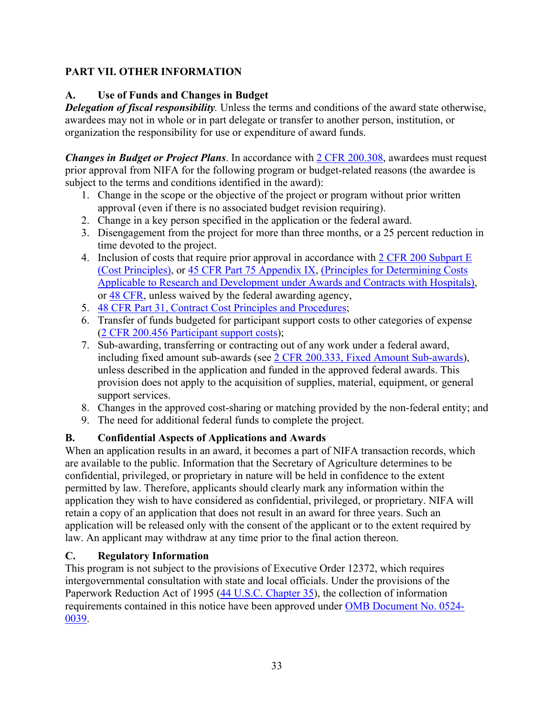# <span id="page-32-0"></span>**PART VII. OTHER INFORMATION**

## <span id="page-32-1"></span>**A. Use of Funds and Changes in Budget**

*Delegation of fiscal responsibility.* Unless the terms and conditions of the award state otherwise, awardees may not in whole or in part delegate or transfer to another person, institution, or organization the responsibility for use or expenditure of award funds.

*Changes in Budget or Project Plans*. In accordance with [2 CFR 200.308,](https://www.ecfr.gov/cgi-bin/text-idx?SID=3af89506559b05297e7d0334cb283e24&mc=true&node=se2.1.200_1308&rgn=div8) awardees must request prior approval from NIFA for the following program or budget-related reasons (the awardee is subject to the terms and conditions identified in the award):

- 1. Change in the scope or the objective of the project or program without prior written approval (even if there is no associated budget revision requiring).
- 2. Change in a key person specified in the application or the federal award.
- 3. Disengagement from the project for more than three months, or a 25 percent reduction in time devoted to the project.
- 4. Inclusion of costs that require prior approval in accordance with [2 CFR 200 Subpart E](https://www.ecfr.gov/cgi-bin/text-idx?SID=dc069d42776cd3451f66232d56026057&mc=true&node=pt2.1.200&rgn=div5#sp2.1.200.e) [\(Cost Principles\),](https://www.ecfr.gov/cgi-bin/text-idx?SID=dc069d42776cd3451f66232d56026057&mc=true&node=pt2.1.200&rgn=div5#sp2.1.200.e) or [45 CFR Part 75 Appendix IX,](https://www.ecfr.gov/cgi-bin/text-idx?node=pt45.1.75#ap45.1.75_1521.ix) [\(Principles for Determining Costs](https://www.ecfr.gov/cgi-bin/text-idx?node=pt45.1.75#ap45.1.75_1521.ix)  [Applicable to Research and Development under Awards and Contracts with Hospitals\)](https://www.ecfr.gov/cgi-bin/text-idx?node=pt45.1.75#ap45.1.75_1521.ix), or [48 CFR,](https://www.ecfr.gov/cgi-bin/text-idx?SID=4d9d83a5cef52c19c5ff83421fa48a4b&mc=true&tpl=/ecfrbrowse/Title48/48tab_02.tpl) unless waived by the federal awarding agency,
- 5. [48 CFR Part 31, Contract Cost Principles and Procedures;](https://www.ecfr.gov/cgi-bin/text-idx?SID=4d9d83a5cef52c19c5ff83421fa48a4b&mc=true&node=pt48.1.31&rgn=div5)
- 6. Transfer of funds budgeted for participant support costs to other categories of expense [\(2 CFR 200.456 Participant support costs\)](https://www.ecfr.gov/cgi-bin/text-idx?SID=875f7422535a157681c65d5ff44deb32&mc=true&node=pt2.1.200&rgn=div5#se2.1.200_1456);
- 7. Sub-awarding, transferring or contracting out of any work under a federal award, including fixed amount sub-awards (see [2 CFR 200.333, Fixed Amount Sub-awards\)](https://www.ecfr.gov/cgi-bin/text-idx?SID=9eaf9554e1f32bf0d83aca55646e9b7e&mc=true&node=pt2.1.200&rgn=div5#se2.1.200_1333), unless described in the application and funded in the approved federal awards. This provision does not apply to the acquisition of supplies, material, equipment, or general support services.
- 8. Changes in the approved cost-sharing or matching provided by the non-federal entity; and
- 9. The need for additional federal funds to complete the project.

# <span id="page-32-2"></span>**B. Confidential Aspects of Applications and Awards**

When an application results in an award, it becomes a part of NIFA transaction records, which are available to the public. Information that the Secretary of Agriculture determines to be confidential, privileged, or proprietary in nature will be held in confidence to the extent permitted by law. Therefore, applicants should clearly mark any information within the application they wish to have considered as confidential, privileged, or proprietary. NIFA will retain a copy of an application that does not result in an award for three years. Such an application will be released only with the consent of the applicant or to the extent required by law. An applicant may withdraw at any time prior to the final action thereon.

## <span id="page-32-3"></span>**C. Regulatory Information**

This program is not subject to the provisions of [Executive Order 12372,](https://www.fws.gov/policy/library/rgeo12372.pdf) which requires intergovernmental consultation with state and local officials. Under the provisions of the [Paperwork Reduction Act of 1995](https://www.reginfo.gov/public/reginfo/pra.pdf) [\(44 U.S.C. Chapter 35\)](http://uscode.house.gov/view.xhtml?path=/prelim@title44/chapter35&edition=prelim), the collection of information requirements contained in this notice have been approved under [OMB Document No. 0524-](https://www.federalregister.gov/documents/2018/10/29/2018-23552/submission-for-omb-review-comment-request) [0039.](https://www.federalregister.gov/documents/2018/10/29/2018-23552/submission-for-omb-review-comment-request)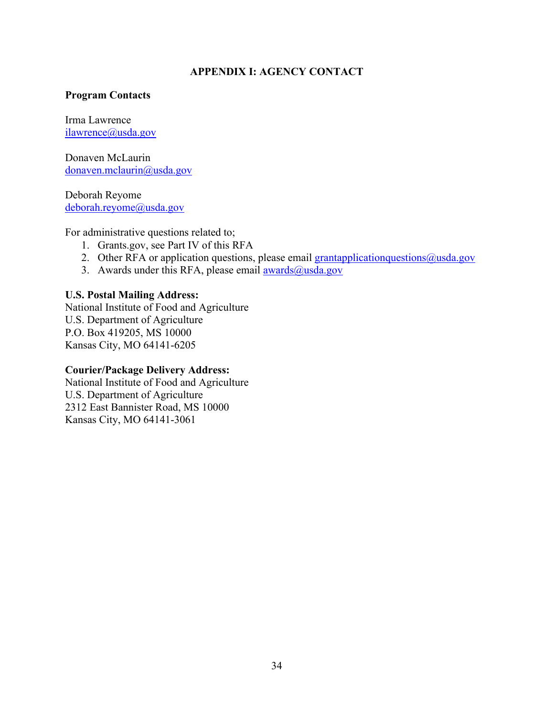#### **APPENDIX I: AGENCY CONTACT**

#### <span id="page-33-0"></span>**Program Contacts**

Irma Lawrence [ilawrence@usda.gov](mailto:ilawrence@usda.gov)

Donaven McLaurin [donaven.mclaurin@usda.gov](mailto:donaven.mclaurin@usda.gov) 

Deborah Reyome [deborah.reyome@usda.gov](mailto:deborah.reyome@usda.gov)

For administrative questions related to;

- 1. Grants.gov, see Part IV of this RFA
- 2. Other RFA or application questions, please email [grantapplicationquestions@usda.gov](mailto:grantapplicationquestions@usda.gov)
- 3. Awards under this RFA, please email  $\frac{awards(0) \times 10^{-19}}{1000}$

#### **U.S. Postal Mailing Address:**

National Institute of Food and Agriculture U.S. Department of Agriculture P.O. Box 419205, MS 10000 Kansas City, MO 64141-6205

#### **Courier/Package Delivery Address:**

National Institute of Food and Agriculture U.S. Department of Agriculture 2312 East Bannister Road, MS 10000 Kansas City, MO 64141-3061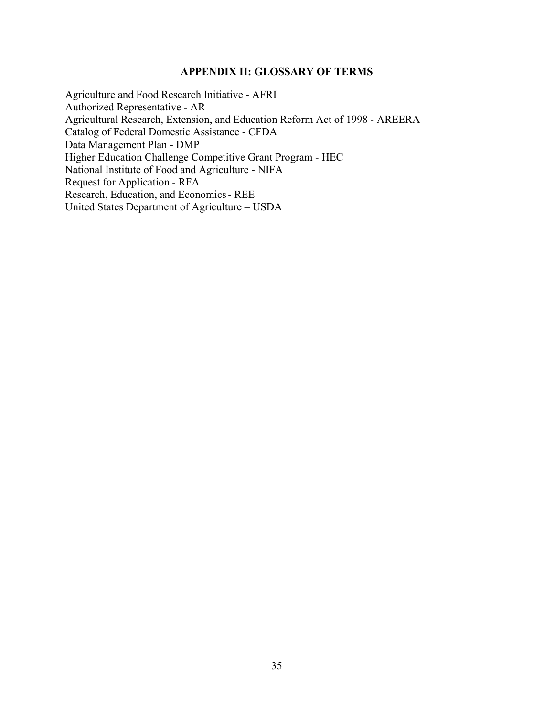#### <span id="page-34-1"></span>**APPENDIX II: GLOSSARY OF TERMS**

<span id="page-34-0"></span>Agriculture and Food Research Initiative - AFRI Authorized Representative - AR Agricultural Research, Extension, and Education Reform Act of 1998 - AREERA Catalog of Federal Domestic Assistance - CFDA Data Management Plan - DMP Higher Education Challenge Competitive Grant Program - HEC National Institute of Food and Agriculture - NIFA Request for Application - RFA Research, Education, and Economics- REE United States Department of Agriculture – USDA